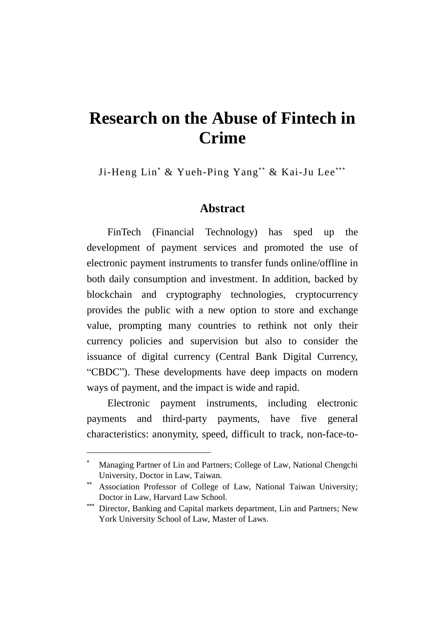# **Research on the Abuse of Fintech in Crime**

Ji-Heng Lin\* & Yueh-Ping Yang\*\* & Kai-Ju Lee\*\*\*

### **Abstract**

FinTech (Financial Technology) has sped up the development of payment services and promoted the use of electronic payment instruments to transfer funds online/offline in both daily consumption and investment. In addition, backed by blockchain and cryptography technologies, cryptocurrency provides the public with a new option to store and exchange value, prompting many countries to rethink not only their currency policies and supervision but also to consider the issuance of digital currency (Central Bank Digital Currency, "CBDC"). These developments have deep impacts on modern ways of payment, and the impact is wide and rapid.

Electronic payment instruments, including electronic payments and third-party payments, have five general characteristics: anonymity, speed, difficult to track, non-face-to-

 $\overline{a}$ 

Managing Partner of Lin and Partners; College of Law, National Chengchi University, Doctor in Law, Taiwan.

Association Professor of College of Law, National Taiwan University; Doctor in Law, Harvard Law School.

Director, Banking and Capital markets department, Lin and Partners; New York University School of Law, Master of Laws.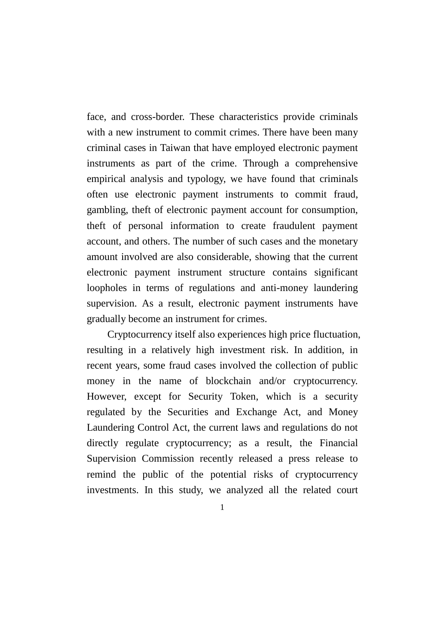face, and cross-border. These characteristics provide criminals with a new instrument to commit crimes. There have been many criminal cases in Taiwan that have employed electronic payment instruments as part of the crime. Through a comprehensive empirical analysis and typology, we have found that criminals often use electronic payment instruments to commit fraud, gambling, theft of electronic payment account for consumption, theft of personal information to create fraudulent payment account, and others. The number of such cases and the monetary amount involved are also considerable, showing that the current electronic payment instrument structure contains significant loopholes in terms of regulations and anti-money laundering supervision. As a result, electronic payment instruments have gradually become an instrument for crimes.

Cryptocurrency itself also experiences high price fluctuation, resulting in a relatively high investment risk. In addition, in recent years, some fraud cases involved the collection of public money in the name of blockchain and/or cryptocurrency. However, except for Security Token, which is a security regulated by the Securities and Exchange Act, and Money Laundering Control Act, the current laws and regulations do not directly regulate cryptocurrency; as a result, the Financial Supervision Commission recently released a press release to remind the public of the potential risks of cryptocurrency investments. In this study, we analyzed all the related court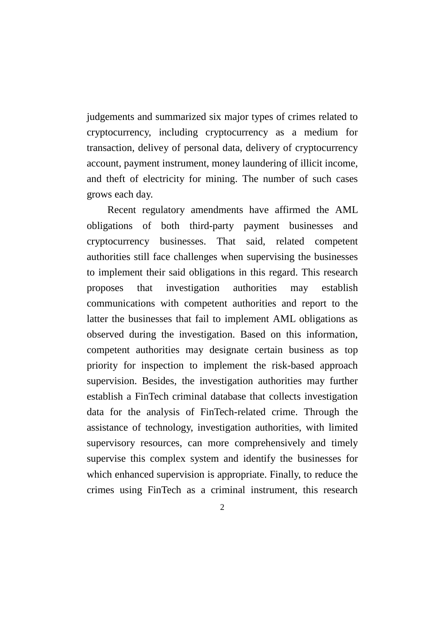judgements and summarized six major types of crimes related to cryptocurrency, including cryptocurrency as a medium for transaction, delivey of personal data, delivery of cryptocurrency account, payment instrument, money laundering of illicit income, and theft of electricity for mining. The number of such cases grows each day.

Recent regulatory amendments have affirmed the AML obligations of both third-party payment businesses and cryptocurrency businesses. That said, related competent authorities still face challenges when supervising the businesses to implement their said obligations in this regard. This research proposes that investigation authorities may establish communications with competent authorities and report to the latter the businesses that fail to implement AML obligations as observed during the investigation. Based on this information, competent authorities may designate certain business as top priority for inspection to implement the risk-based approach supervision. Besides, the investigation authorities may further establish a FinTech criminal database that collects investigation data for the analysis of FinTech-related crime. Through the assistance of technology, investigation authorities, with limited supervisory resources, can more comprehensively and timely supervise this complex system and identify the businesses for which enhanced supervision is appropriate. Finally, to reduce the crimes using FinTech as a criminal instrument, this research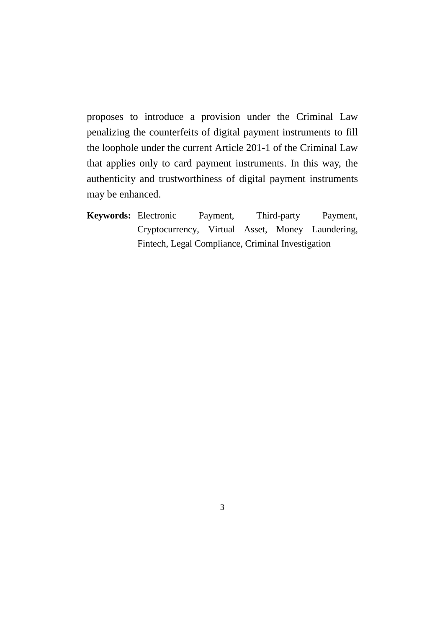proposes to introduce a provision under the Criminal Law penalizing the counterfeits of digital payment instruments to fill the loophole under the current Article 201-1 of the Criminal Law that applies only to card payment instruments. In this way, the authenticity and trustworthiness of digital payment instruments may be enhanced.

**Keywords:** Electronic Payment, Third-party Payment, Cryptocurrency, Virtual Asset, Money Laundering, Fintech, Legal Compliance, Criminal Investigation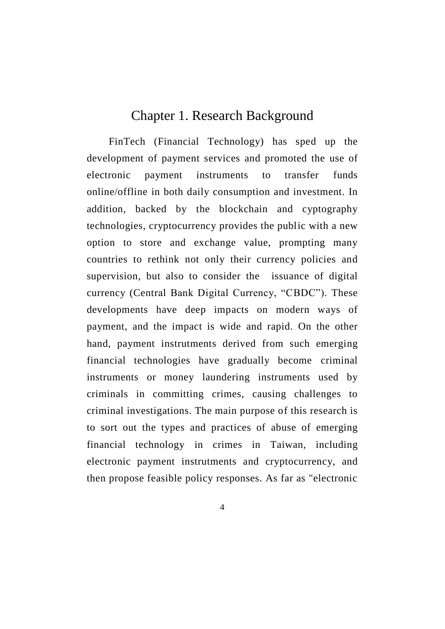# Chapter 1. Research Background

FinTech (Financial Technology) has sped up the development of payment services and promoted the use of electronic payment instruments to transfer funds online/offline in both daily consumption and investment. In addition, backed by the blockchain and cyptography technologies, cryptocurrency provides the public with a new option to store and exchange value, prompting many countries to rethink not only their currency policies and supervision, but also to consider the issuance of digital currency (Central Bank Digital Currency, "CBDC"). These developments have deep impacts on modern ways of payment, and the impact is wide and rapid. On the other hand, payment instrutments derived from such emerging financial technologies have gradually become criminal instruments or money laundering instruments used by criminals in committing crimes, causing challenges to criminal investigations. The main purpose of this research is to sort out the types and practices of abuse of emerging financial technology in crimes in Taiwan, including electronic payment instrutments and cryptocurrency, and then propose feasible policy responses. As far as "electronic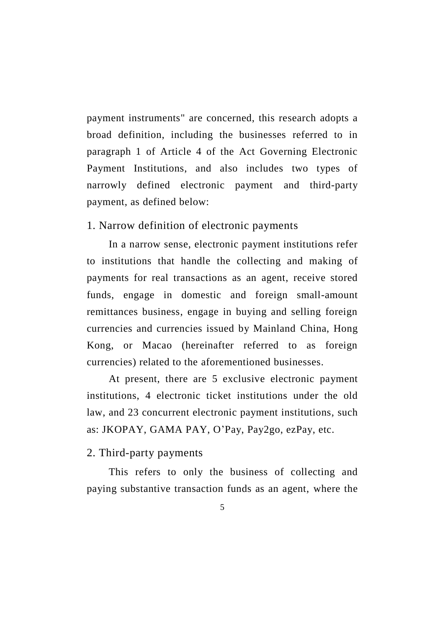payment instruments" are concerned, this research adopts a broad definition, including the businesses referred to in paragraph 1 of Article 4 of the Act Governing Electronic Payment Institutions, and also includes two types of narrowly defined electronic payment and third-party payment, as defined below:

1. Narrow definition of electronic payments

In a narrow sense, electronic payment institutions refer to institutions that handle the collecting and making of payments for real transactions as an agent, receive stored funds, engage in domestic and foreign small-amount remittances business, engage in buying and selling foreign currencies and currencies issued by Mainland China, Hong Kong, or Macao (hereinafter referred to as foreign currencies) related to the aforementioned businesses.

At present, there are 5 exclusive electronic payment institutions, 4 electronic ticket institutions under the old law, and 23 concurrent electronic payment institutions, such as: JKOPAY, GAMA PAY, O'Pay, Pay2go, ezPay, etc.

#### 2. Third-party payments

This refers to only the business of collecting and paying substantive transaction funds as an agent, where the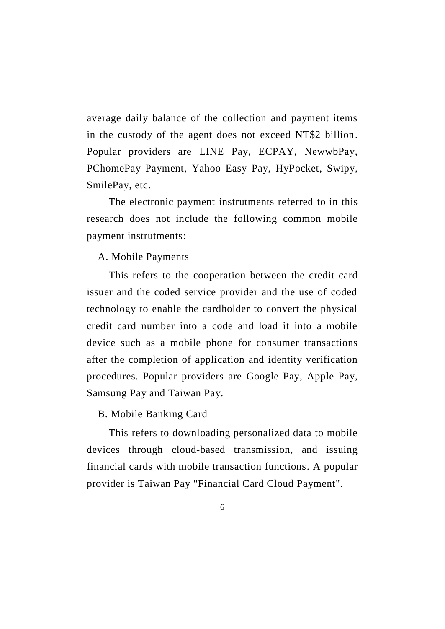average daily balance of the collection and payment items in the custody of the agent does not exceed NT\$2 billion. Popular providers are LINE Pay, ECPAY, NewwbPay, PChomePay Payment, Yahoo Easy Pay, HyPocket, Swipy, SmilePay, etc.

The electronic payment instrutments referred to in this research does not include the following common mobile payment instrutments:

#### A. Mobile Payments

This refers to the cooperation between the credit card issuer and the coded service provider and the use of coded technology to enable the cardholder to convert the physical credit card number into a code and load it into a mobile device such as a mobile phone for consumer transactions after the completion of application and identity verification procedures. Popular providers are Google Pay, Apple Pay, Samsung Pay and Taiwan Pay.

#### B. Mobile Banking Card

This refers to downloading personalized data to mobile devices through cloud-based transmission, and issuing financial cards with mobile transaction functions. A popular provider is Taiwan Pay "Financial Card Cloud Payment".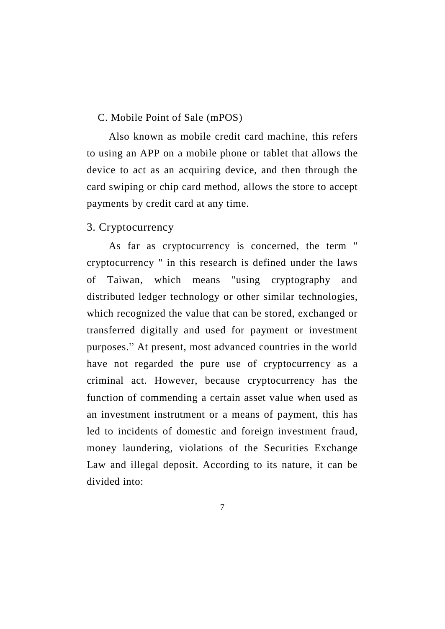#### C. Mobile Point of Sale (mPOS)

Also known as mobile credit card machine, this refers to using an APP on a mobile phone or tablet that allows the device to act as an acquiring device, and then through the card swiping or chip card method, allows the store to accept payments by credit card at any time.

#### 3. Cryptocurrency

As far as cryptocurrency is concerned, the term " cryptocurrency " in this research is defined under the laws of Taiwan, which means "using cryptography and distributed ledger technology or other similar technologies, which recognized the value that can be stored, exchanged or transferred digitally and used for payment or investment purposes." At present, most advanced countries in the world have not regarded the pure use of cryptocurrency as a criminal act. However, because cryptocurrency has the function of commending a certain asset value when used as an investment instrutment or a means of payment, this has led to incidents of domestic and foreign investment fraud, money laundering, violations of the Securities Exchange Law and illegal deposit. According to its nature, it can be divided into: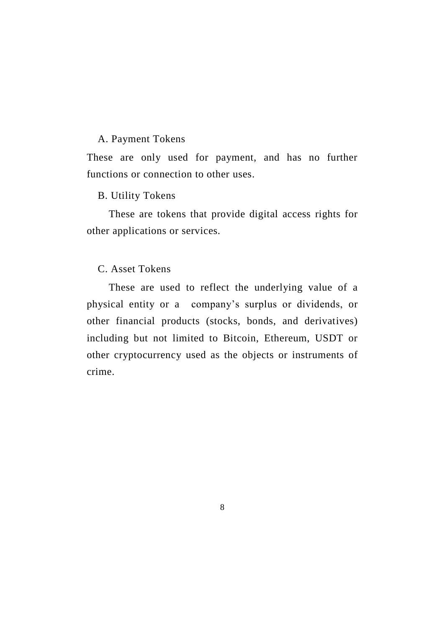#### A. Payment Tokens

These are only used for payment, and has no further functions or connection to other uses.

#### B. Utility Tokens

These are tokens that provide digital access rights for other applications or services.

#### C. Asset Tokens

These are used to reflect the underlying value of a physical entity or a company's surplus or dividends, or other financial products (stocks, bonds, and derivatives) including but not limited to Bitcoin, Ethereum, USDT or other cryptocurrency used as the objects or instruments of crime.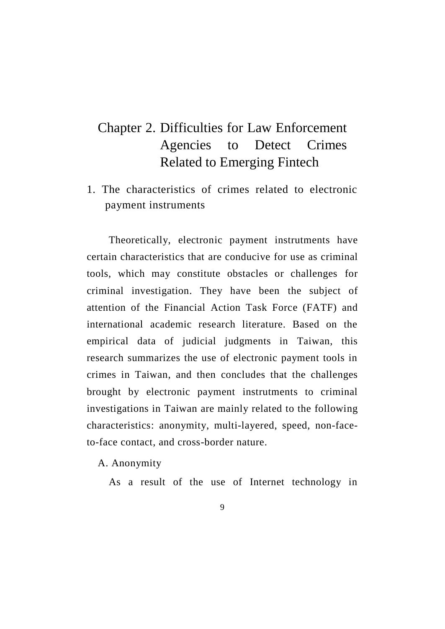# Chapter 2. Difficulties for Law Enforcement Agencies to Detect Crimes Related to Emerging Fintech

1. The characteristics of crimes related to electronic payment instruments

Theoretically, electronic payment instrutments have certain characteristics that are conducive for use as criminal tools, which may constitute obstacles or challenges for criminal investigation. They have been the subject of attention of the Financial Action Task Force (FATF) and international academic research literature. Based on the empirical data of judicial judgments in Taiwan, this research summarizes the use of electronic payment tools in crimes in Taiwan, and then concludes that the challenges brought by electronic payment instrutments to criminal investigations in Taiwan are mainly related to the following characteristics: anonymity, multi-layered, speed, non-faceto-face contact, and cross-border nature.

A. Anonymity

As a result of the use of Internet technology in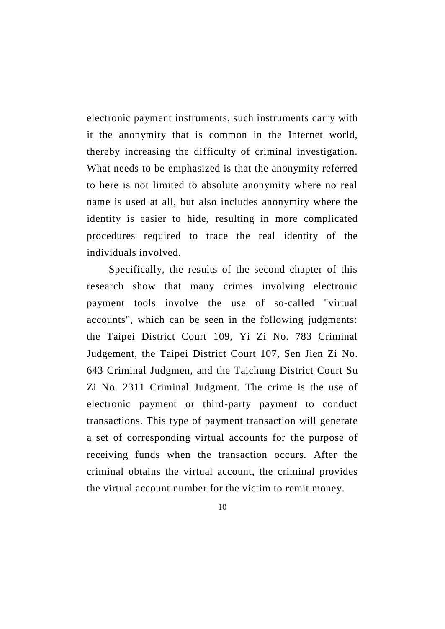electronic payment instruments, such instruments carry with it the anonymity that is common in the Internet world, thereby increasing the difficulty of criminal investigation. What needs to be emphasized is that the anonymity referred to here is not limited to absolute anonymity where no real name is used at all, but also includes anonymity where the identity is easier to hide, resulting in more complicated procedures required to trace the real identity of the individuals involved.

Specifically, the results of the second chapter of this research show that many crimes involving electronic payment tools involve the use of so-called "virtual accounts", which can be seen in the following judgments: the Taipei District Court 109, Yi Zi No. 783 Criminal Judgement, the Taipei District Court 107, Sen Jien Zi No. 643 Criminal Judgmen, and the Taichung District Court Su Zi No. 2311 Criminal Judgment. The crime is the use of electronic payment or third-party payment to conduct transactions. This type of payment transaction will generate a set of corresponding virtual accounts for the purpose of receiving funds when the transaction occurs. After the criminal obtains the virtual account, the criminal provides the virtual account number for the victim to remit money.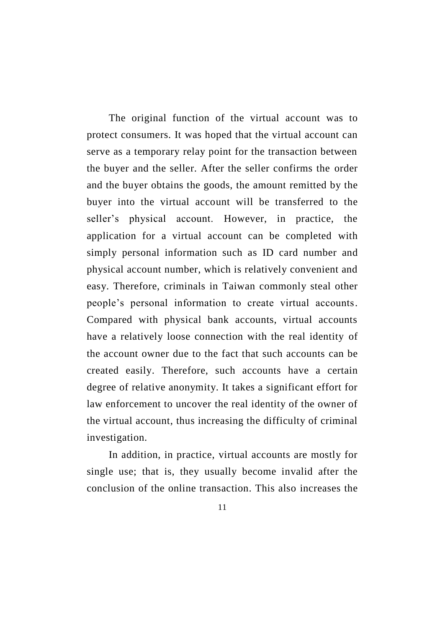The original function of the virtual account was to protect consumers. It was hoped that the virtual account can serve as a temporary relay point for the transaction between the buyer and the seller. After the seller confirms the order and the buyer obtains the goods, the amount remitted by the buyer into the virtual account will be transferred to the seller's physical account. However, in practice, the application for a virtual account can be completed with simply personal information such as ID card number and physical account number, which is relatively convenient and easy. Therefore, criminals in Taiwan commonly steal other people's personal information to create virtual accounts. Compared with physical bank accounts, virtual accounts have a relatively loose connection with the real identity of the account owner due to the fact that such accounts can be created easily. Therefore, such accounts have a certain degree of relative anonymity. It takes a significant effort for law enforcement to uncover the real identity of the owner of the virtual account, thus increasing the difficulty of criminal investigation.

In addition, in practice, virtual accounts are mostly for single use; that is, they usually become invalid after the conclusion of the online transaction. This also increases the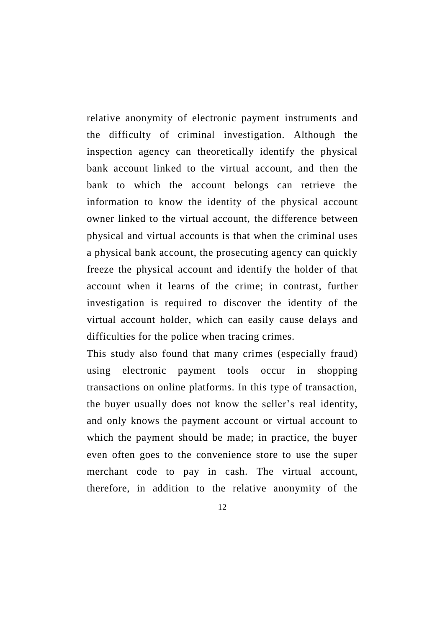relative anonymity of electronic payment instruments and the difficulty of criminal investigation. Although the inspection agency can theoretically identify the physical bank account linked to the virtual account, and then the bank to which the account belongs can retrieve the information to know the identity of the physical account owner linked to the virtual account, the difference between physical and virtual accounts is that when the criminal uses a physical bank account, the prosecuting agency can quickly freeze the physical account and identify the holder of that account when it learns of the crime; in contrast, further investigation is required to discover the identity of the virtual account holder, which can easily cause delays and difficulties for the police when tracing crimes.

This study also found that many crimes (especially fraud) using electronic payment tools occur in shopping transactions on online platforms. In this type of transaction, the buyer usually does not know the seller's real identity, and only knows the payment account or virtual account to which the payment should be made; in practice, the buyer even often goes to the convenience store to use the super merchant code to pay in cash. The virtual account, therefore, in addition to the relative anonymity of the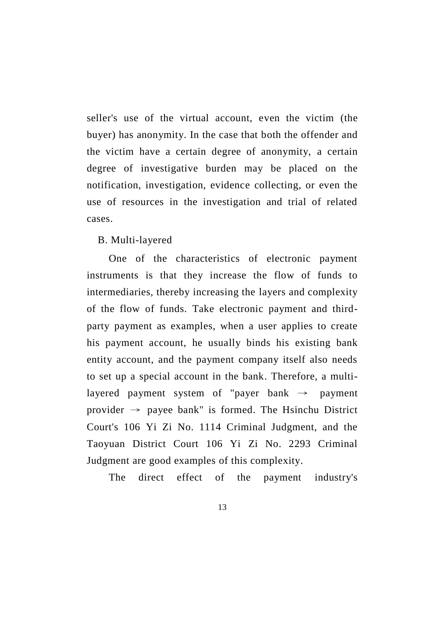seller's use of the virtual account, even the victim (the buyer) has anonymity. In the case that both the offender and the victim have a certain degree of anonymity, a certain degree of investigative burden may be placed on the notification, investigation, evidence collecting, or even the use of resources in the investigation and trial of related cases.

#### B. Multi-layered

One of the characteristics of electronic payment instruments is that they increase the flow of funds to intermediaries, thereby increasing the layers and complexity of the flow of funds. Take electronic payment and thirdparty payment as examples, when a user applies to create his payment account, he usually binds his existing bank entity account, and the payment company itself also needs to set up a special account in the bank. Therefore, a multilayered payment system of "payer bank  $\rightarrow$  payment provider  $\rightarrow$  payee bank" is formed. The Hsinchu District Court's 106 Yi Zi No. 1114 Criminal Judgment, and the Taoyuan District Court 106 Yi Zi No. 2293 Criminal Judgment are good examples of this complexity.

The direct effect of the payment industry's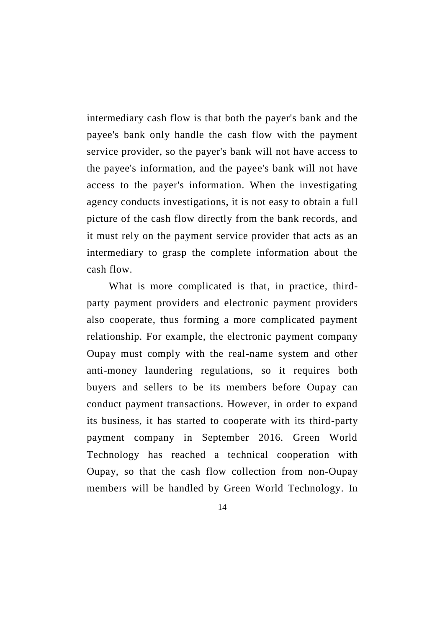intermediary cash flow is that both the payer's bank and the payee's bank only handle the cash flow with the payment service provider, so the payer's bank will not have access to the payee's information, and the payee's bank will not have access to the payer's information. When the investigating agency conducts investigations, it is not easy to obtain a full picture of the cash flow directly from the bank records, and it must rely on the payment service provider that acts as an intermediary to grasp the complete information about the cash flow.

What is more complicated is that, in practice, thirdparty payment providers and electronic payment providers also cooperate, thus forming a more complicated payment relationship. For example, the electronic payment company Oupay must comply with the real-name system and other anti-money laundering regulations, so it requires both buyers and sellers to be its members before Oupay can conduct payment transactions. However, in order to expand its business, it has started to cooperate with its third-party payment company in September 2016. Green World Technology has reached a technical cooperation with Oupay, so that the cash flow collection from non-Oupay members will be handled by Green World Technology. In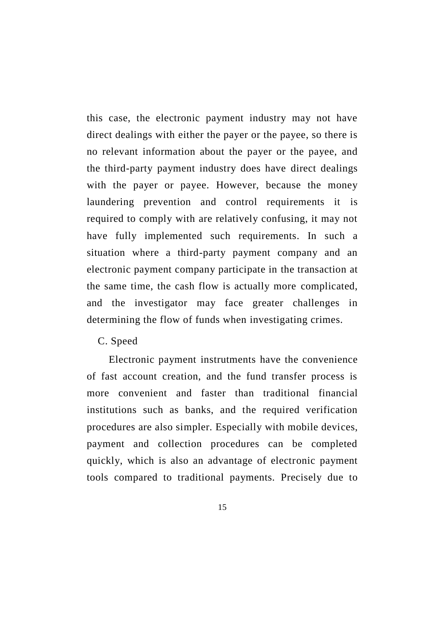this case, the electronic payment industry may not have direct dealings with either the payer or the payee, so there is no relevant information about the payer or the payee, and the third-party payment industry does have direct dealings with the payer or payee. However, because the money laundering prevention and control requirements it is required to comply with are relatively confusing, it may not have fully implemented such requirements. In such a situation where a third-party payment company and an electronic payment company participate in the transaction at the same time, the cash flow is actually more complicated, and the investigator may face greater challenges in determining the flow of funds when investigating crimes.

C. Speed

Electronic payment instrutments have the convenience of fast account creation, and the fund transfer process is more convenient and faster than traditional financial institutions such as banks, and the required verification procedures are also simpler. Especially with mobile devices, payment and collection procedures can be completed quickly, which is also an advantage of electronic payment tools compared to traditional payments. Precisely due to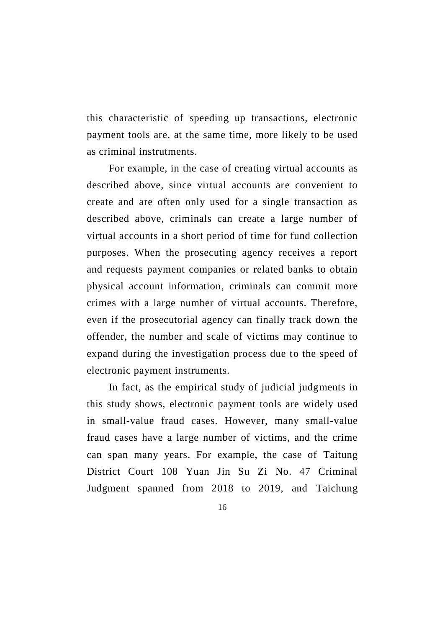this characteristic of speeding up transactions, electronic payment tools are, at the same time, more likely to be used as criminal instrutments.

For example, in the case of creating virtual accounts as described above, since virtual accounts are convenient to create and are often only used for a single transaction as described above, criminals can create a large number of virtual accounts in a short period of time for fund collection purposes. When the prosecuting agency receives a report and requests payment companies or related banks to obtain physical account information, criminals can commit more crimes with a large number of virtual accounts. Therefore, even if the prosecutorial agency can finally track down the offender, the number and scale of victims may continue to expand during the investigation process due to the speed of electronic payment instruments.

In fact, as the empirical study of judicial judgments in this study shows, electronic payment tools are widely used in small-value fraud cases. However, many small-value fraud cases have a large number of victims, and the crime can span many years. For example, the case of Taitung District Court 108 Yuan Jin Su Zi No. 47 Criminal Judgment spanned from 2018 to 2019, and Taichung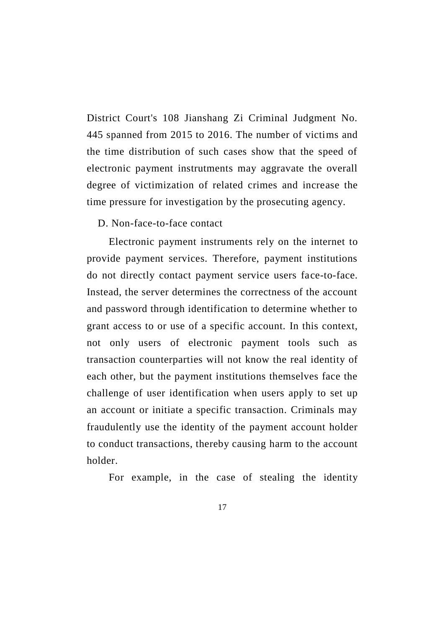District Court's 108 Jianshang Zi Criminal Judgment No. 445 spanned from 2015 to 2016. The number of victims and the time distribution of such cases show that the speed of electronic payment instrutments may aggravate the overall degree of victimization of related crimes and increase the time pressure for investigation by the prosecuting agency.

#### D. Non-face-to-face contact

Electronic payment instruments rely on the internet to provide payment services. Therefore, payment institutions do not directly contact payment service users face-to-face. Instead, the server determines the correctness of the account and password through identification to determine whether to grant access to or use of a specific account. In this context, not only users of electronic payment tools such as transaction counterparties will not know the real identity of each other, but the payment institutions themselves face the challenge of user identification when users apply to set up an account or initiate a specific transaction. Criminals may fraudulently use the identity of the payment account holder to conduct transactions, thereby causing harm to the account holder.

For example, in the case of stealing the identity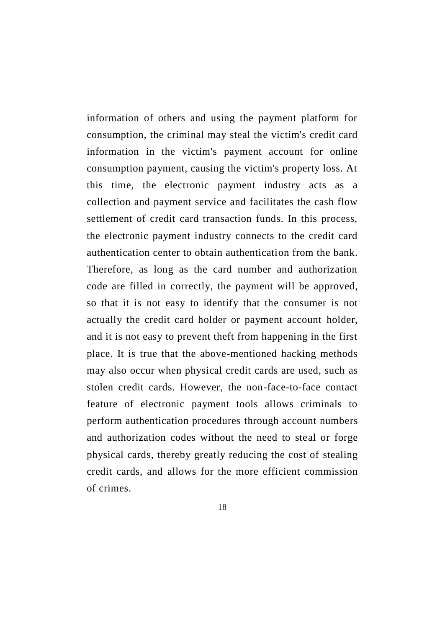information of others and using the payment platform for consumption, the criminal may steal the victim's credit card information in the victim's payment account for online consumption payment, causing the victim's property loss. At this time, the electronic payment industry acts as a collection and payment service and facilitates the cash flow settlement of credit card transaction funds. In this process, the electronic payment industry connects to the credit card authentication center to obtain authentication from the bank. Therefore, as long as the card number and authorization code are filled in correctly, the payment will be approved, so that it is not easy to identify that the consumer is not actually the credit card holder or payment account holder, and it is not easy to prevent theft from happening in the first place. It is true that the above-mentioned hacking methods may also occur when physical credit cards are used, such as stolen credit cards. However, the non-face-to-face contact feature of electronic payment tools allows criminals to perform authentication procedures through account numbers and authorization codes without the need to steal or forge physical cards, thereby greatly reducing the cost of stealing credit cards, and allows for the more efficient commission of crimes.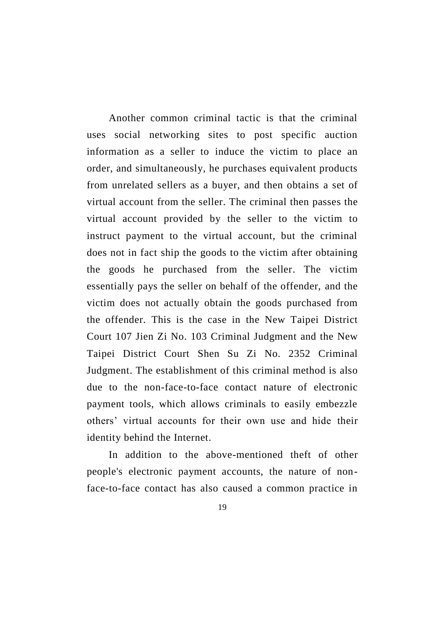Another common criminal tactic is that the criminal uses social networking sites to post specific auction information as a seller to induce the victim to place an order, and simultaneously, he purchases equivalent products from unrelated sellers as a buyer, and then obtains a set of virtual account from the seller. The criminal then passes the virtual account provided by the seller to the victim to instruct payment to the virtual account, but the criminal does not in fact ship the goods to the victim after obtaining the goods he purchased from the seller. The victim essentially pays the seller on behalf of the offender, and the victim does not actually obtain the goods purchased from the offender. This is the case in the New Taipei District Court 107 Jien Zi No. 103 Criminal Judgment and the New Taipei District Court Shen Su Zi No. 2352 Criminal Judgment. The establishment of this criminal method is also due to the non-face-to-face contact nature of electronic payment tools, which allows criminals to easily embezzle others' virtual accounts for their own use and hide their identity behind the Internet.

In addition to the above-mentioned theft of other people's electronic payment accounts, the nature of nonface-to-face contact has also caused a common practice in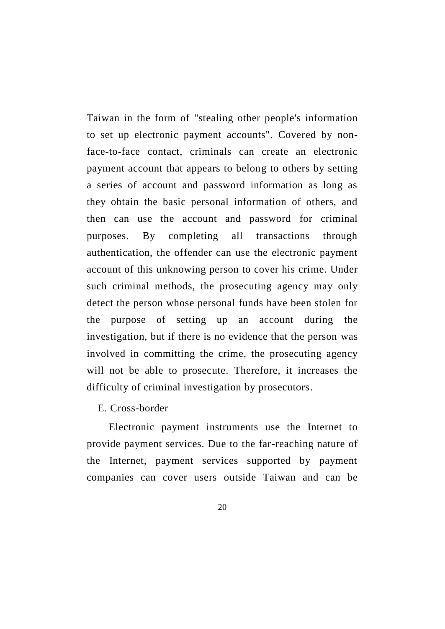Taiwan in the form of "stealing other people's information to set up electronic payment accounts". Covered by nonface-to-face contact, criminals can create an electronic payment account that appears to belong to others by setting a series of account and password information as long as they obtain the basic personal information of others, and then can use the account and password for criminal purposes. By completing all transactions through authentication, the offender can use the electronic payment account of this unknowing person to cover his crime. Under such criminal methods, the prosecuting agency may only detect the person whose personal funds have been stolen for the purpose of setting up an account during the investigation, but if there is no evidence that the person was involved in committing the crime, the prosecuting agency will not be able to prosecute. Therefore, it increases the difficulty of criminal investigation by prosecutors.

E. Cross-border

Electronic payment instruments use the Internet to provide payment services. Due to the far-reaching nature of the Internet, payment services supported by payment companies can cover users outside Taiwan and can be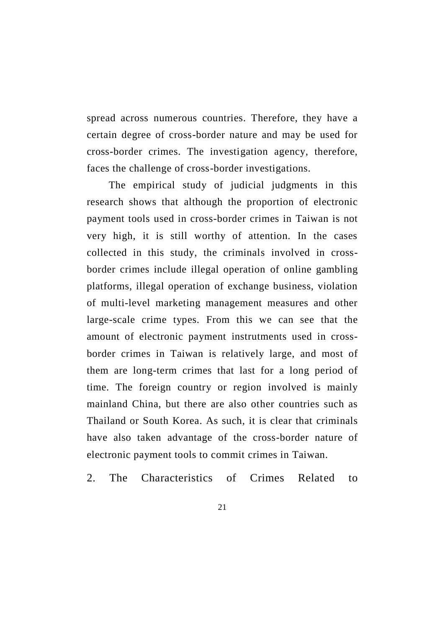spread across numerous countries. Therefore, they have a certain degree of cross-border nature and may be used for cross-border crimes. The investigation agency, therefore, faces the challenge of cross-border investigations.

The empirical study of judicial judgments in this research shows that although the proportion of electronic payment tools used in cross-border crimes in Taiwan is not very high, it is still worthy of attention. In the cases collected in this study, the criminals involved in crossborder crimes include illegal operation of online gambling platforms, illegal operation of exchange business, violation of multi-level marketing management measures and other large-scale crime types. From this we can see that the amount of electronic payment instrutments used in crossborder crimes in Taiwan is relatively large, and most of them are long-term crimes that last for a long period of time. The foreign country or region involved is mainly mainland China, but there are also other countries such as Thailand or South Korea. As such, it is clear that criminals have also taken advantage of the cross-border nature of electronic payment tools to commit crimes in Taiwan.

2. The Characteristics of Crimes Related to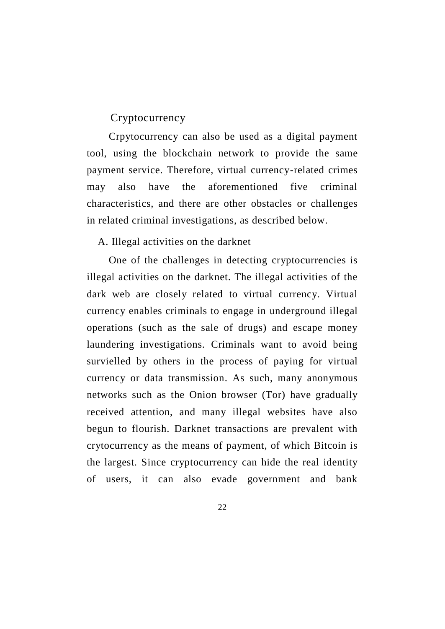## Cryptocurrency

Crpytocurrency can also be used as a digital payment tool, using the blockchain network to provide the same payment service. Therefore, virtual currency-related crimes may also have the aforementioned five criminal characteristics, and there are other obstacles or challenges in related criminal investigations, as described below.

#### A. Illegal activities on the darknet

One of the challenges in detecting cryptocurrencies is illegal activities on the darknet. The illegal activities of the dark web are closely related to virtual currency. Virtual currency enables criminals to engage in underground illegal operations (such as the sale of drugs) and escape money laundering investigations. Criminals want to avoid being survielled by others in the process of paying for virtual currency or data transmission. As such, many anonymous networks such as the Onion browser (Tor) have gradually received attention, and many illegal websites have also begun to flourish. Darknet transactions are prevalent with crytocurrency as the means of payment, of which Bitcoin is the largest. Since cryptocurrency can hide the real identity of users, it can also evade government and bank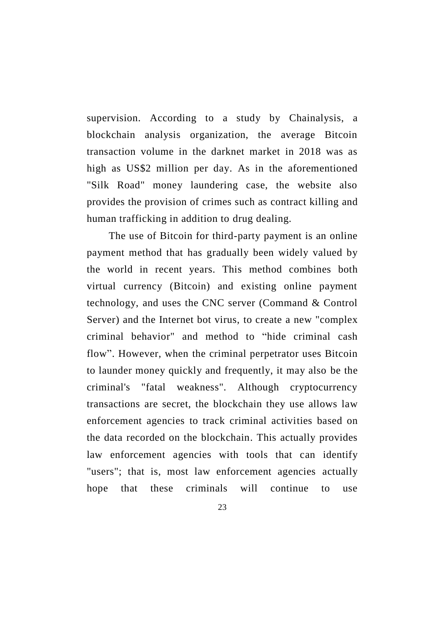supervision. According to a study by Chainalysis, a blockchain analysis organization, the average Bitcoin transaction volume in the darknet market in 2018 was as high as US\$2 million per day. As in the aforementioned "Silk Road" money laundering case, the website also provides the provision of crimes such as contract killing and human trafficking in addition to drug dealing.

The use of Bitcoin for third-party payment is an online payment method that has gradually been widely valued by the world in recent years. This method combines both virtual currency (Bitcoin) and existing online payment technology, and uses the CNC server (Command & Control Server) and the Internet bot virus, to create a new "complex criminal behavior" and method to "hide criminal cash flow". However, when the criminal perpetrator uses Bitcoin to launder money quickly and frequently, it may also be the criminal's "fatal weakness". Although cryptocurrency transactions are secret, the blockchain they use allows law enforcement agencies to track criminal activities based on the data recorded on the blockchain. This actually provides law enforcement agencies with tools that can identify "users"; that is, most law enforcement agencies actually hope that these criminals will continue to use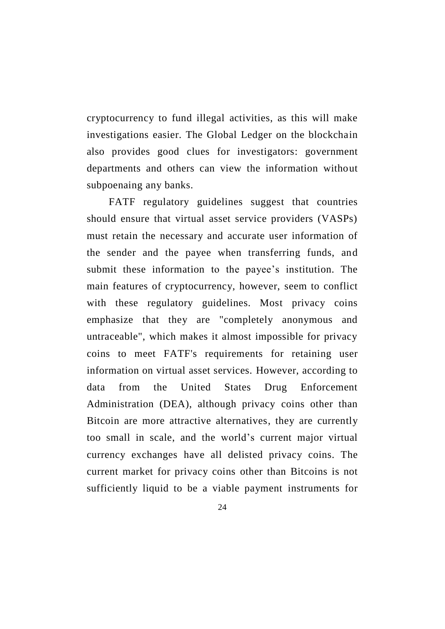cryptocurrency to fund illegal activities, as this will make investigations easier. The Global Ledger on the blockchain also provides good clues for investigators: government departments and others can view the information without subpoenaing any banks.

FATF regulatory guidelines suggest that countries should ensure that virtual asset service providers (VASPs) must retain the necessary and accurate user information of the sender and the payee when transferring funds, and submit these information to the payee's institution. The main features of cryptocurrency, however, seem to conflict with these regulatory guidelines. Most privacy coins emphasize that they are "completely anonymous and untraceable", which makes it almost impossible for privacy coins to meet FATF's requirements for retaining user information on virtual asset services. However, according to data from the United States Drug Enforcement Administration (DEA), although privacy coins other than Bitcoin are more attractive alternatives, they are currently too small in scale, and the world's current major virtual currency exchanges have all delisted privacy coins. The current market for privacy coins other than Bitcoins is not sufficiently liquid to be a viable payment instruments for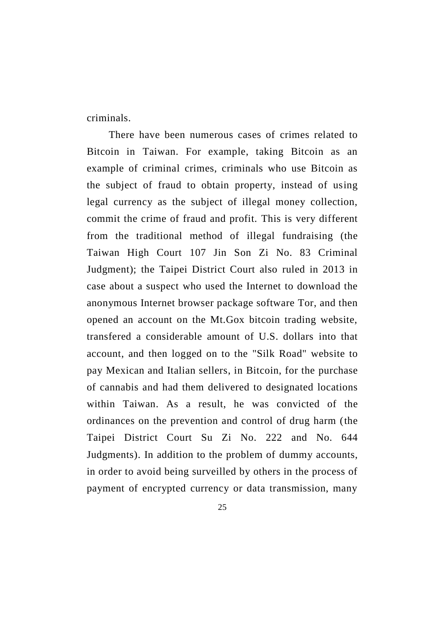criminals.

There have been numerous cases of crimes related to Bitcoin in Taiwan. For example, taking Bitcoin as an example of criminal crimes, criminals who use Bitcoin as the subject of fraud to obtain property, instead of using legal currency as the subject of illegal money collection, commit the crime of fraud and profit. This is very different from the traditional method of illegal fundraising (the Taiwan High Court 107 Jin Son Zi No. 83 Criminal Judgment); the Taipei District Court also ruled in 2013 in case about a suspect who used the Internet to download the anonymous Internet browser package software Tor, and then opened an account on the Mt.Gox bitcoin trading website, transfered a considerable amount of U.S. dollars into that account, and then logged on to the "Silk Road" website to pay Mexican and Italian sellers, in Bitcoin, for the purchase of cannabis and had them delivered to designated locations within Taiwan. As a result, he was convicted of the ordinances on the prevention and control of drug harm (the Taipei District Court Su Zi No. 222 and No. 644 Judgments). In addition to the problem of dummy accounts, in order to avoid being surveilled by others in the process of payment of encrypted currency or data transmission, many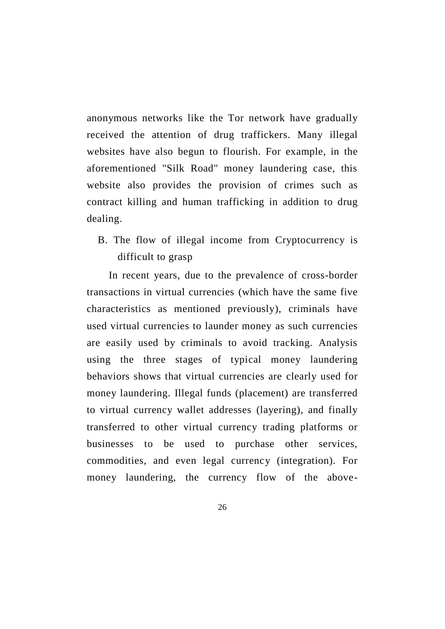anonymous networks like the Tor network have gradually received the attention of drug traffickers. Many illegal websites have also begun to flourish. For example, in the aforementioned "Silk Road" money laundering case, this website also provides the provision of crimes such as contract killing and human trafficking in addition to drug dealing.

B. The flow of illegal income from Cryptocurrency is difficult to grasp

In recent years, due to the prevalence of cross-border transactions in virtual currencies (which have the same five characteristics as mentioned previously), criminals have used virtual currencies to launder money as such currencies are easily used by criminals to avoid tracking. Analysis using the three stages of typical money laundering behaviors shows that virtual currencies are clearly used for money laundering. Illegal funds (placement) are transferred to virtual currency wallet addresses (layering), and finally transferred to other virtual currency trading platforms or businesses to be used to purchase other services, commodities, and even legal currency (integration). For money laundering, the currency flow of the above-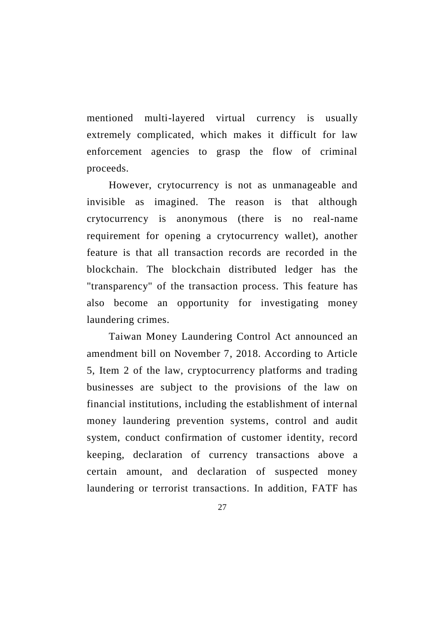mentioned multi-layered virtual currency is usually extremely complicated, which makes it difficult for law enforcement agencies to grasp the flow of criminal proceeds.

However, crytocurrency is not as unmanageable and invisible as imagined. The reason is that although crytocurrency is anonymous (there is no real-name requirement for opening a crytocurrency wallet), another feature is that all transaction records are recorded in the blockchain. The blockchain distributed ledger has the "transparency" of the transaction process. This feature has also become an opportunity for investigating money laundering crimes.

Taiwan Money Laundering Control Act announced an amendment bill on November 7, 2018. According to Article 5, Item 2 of the law, cryptocurrency platforms and trading businesses are subject to the provisions of the law on financial institutions, including the establishment of internal money laundering prevention systems, control and audit system, conduct confirmation of customer identity, record keeping, declaration of currency transactions above a certain amount, and declaration of suspected money laundering or terrorist transactions. In addition, FATF has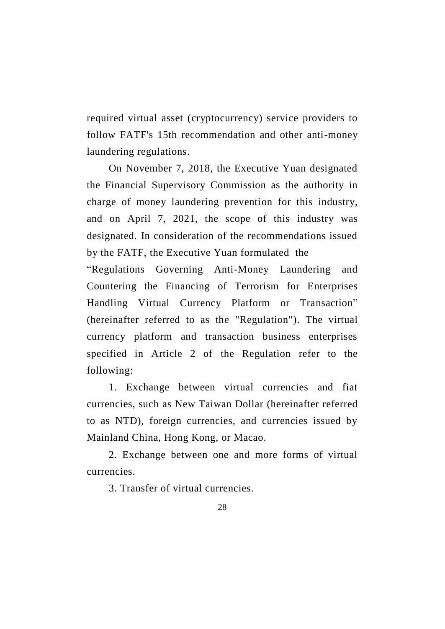required virtual asset (cryptocurrency) service providers to follow FATF's 15th recommendation and other anti-money laundering regulations.

On November 7, 2018, the Executive Yuan designated the Financial Supervisory Commission as the authority in charge of money laundering prevention for this industry, and on April 7, 2021, the scope of this industry was designated. In consideration of the recommendations issued by the FATF, the Executive Yuan formulated the

"Regulations Governing Anti-Money Laundering and Countering the Financing of Terrorism for Enterprises Handling Virtual Currency Platform or Transaction" (hereinafter referred to as the "Regulation"). The virtual currency platform and transaction business enterprises specified in Article 2 of the Regulation refer to the following:

1. Exchange between virtual currencies and fiat currencies, such as New Taiwan Dollar (hereinafter referred to as NTD), foreign currencies, and currencies issued by Mainland China, Hong Kong, or Macao.

2. Exchange between one and more forms of virtual currencies.

3. Transfer of virtual currencies.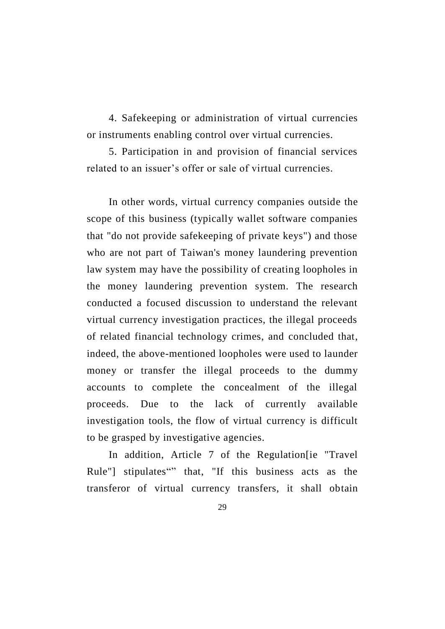4. Safekeeping or administration of virtual currencies or instruments enabling control over virtual currencies.

5. Participation in and provision of financial services related to an issuer's offer or sale of virtual currencies.

In other words, virtual currency companies outside the scope of this business (typically wallet software companies that "do not provide safekeeping of private keys") and those who are not part of Taiwan's money laundering prevention law system may have the possibility of creating loopholes in the money laundering prevention system. The research conducted a focused discussion to understand the relevant virtual currency investigation practices, the illegal proceeds of related financial technology crimes, and concluded that, indeed, the above-mentioned loopholes were used to launder money or transfer the illegal proceeds to the dummy accounts to complete the concealment of the illegal proceeds. Due to the lack of currently available investigation tools, the flow of virtual currency is difficult to be grasped by investigative agencies.

In addition, Article 7 of the Regulation[ie "Travel Rule"] stipulates"" that, "If this business acts as the transferor of virtual currency transfers, it shall obtain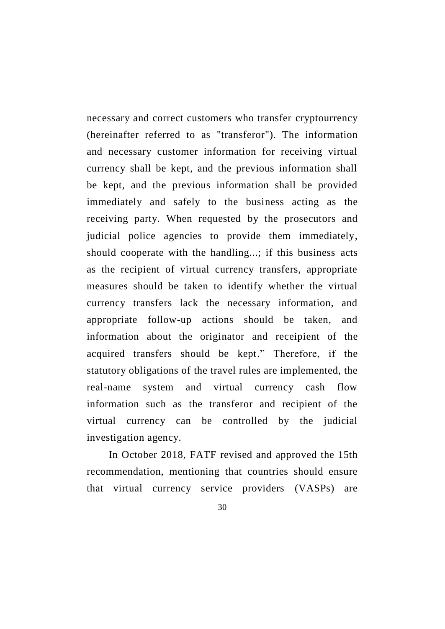necessary and correct customers who transfer cryptourrency (hereinafter referred to as "transferor"). The information and necessary customer information for receiving virtual currency shall be kept, and the previous information shall be kept, and the previous information shall be provided immediately and safely to the business acting as the receiving party. When requested by the prosecutors and judicial police agencies to provide them immediately, should cooperate with the handling...; if this business acts as the recipient of virtual currency transfers, appropriate measures should be taken to identify whether the virtual currency transfers lack the necessary information, and appropriate follow-up actions should be taken, and information about the originator and receipient of the acquired transfers should be kept." Therefore, if the statutory obligations of the travel rules are implemented, the real-name system and virtual currency cash flow information such as the transferor and recipient of the virtual currency can be controlled by the judicial investigation agency.

In October 2018, FATF revised and approved the 15th recommendation, mentioning that countries should ensure that virtual currency service providers (VASPs) are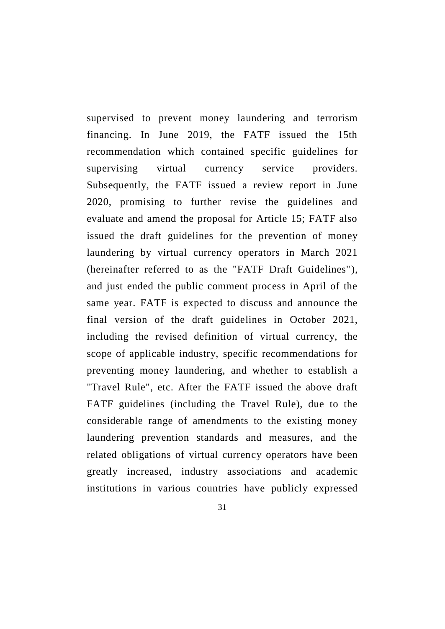supervised to prevent money laundering and terrorism financing. In June 2019, the FATF issued the 15th recommendation which contained specific guidelines for supervising virtual currency service providers. Subsequently, the FATF issued a review report in June 2020, promising to further revise the guidelines and evaluate and amend the proposal for Article 15; FATF also issued the draft guidelines for the prevention of money laundering by virtual currency operators in March 2021 (hereinafter referred to as the "FATF Draft Guidelines"), and just ended the public comment process in April of the same year. FATF is expected to discuss and announce the final version of the draft guidelines in October 2021, including the revised definition of virtual currency, the scope of applicable industry, specific recommendations for preventing money laundering, and whether to establish a "Travel Rule", etc. After the FATF issued the above draft FATF guidelines (including the Travel Rule), due to the considerable range of amendments to the existing money laundering prevention standards and measures, and the related obligations of virtual currency operators have been greatly increased, industry associations and academic institutions in various countries have publicly expressed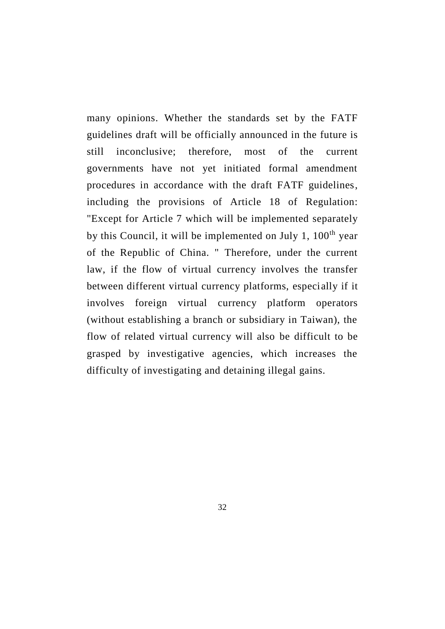many opinions. Whether the standards set by the FATF guidelines draft will be officially announced in the future is still inconclusive; therefore, most of the current governments have not yet initiated formal amendment procedures in accordance with the draft FATF guidelines, including the provisions of Article 18 of Regulation: "Except for Article 7 which will be implemented separately by this Council, it will be implemented on July 1,  $100<sup>th</sup>$  year of the Republic of China. " Therefore, under the current law, if the flow of virtual currency involves the transfer between different virtual currency platforms, especially if it involves foreign virtual currency platform operators (without establishing a branch or subsidiary in Taiwan), the flow of related virtual currency will also be difficult to be grasped by investigative agencies, which increases the difficulty of investigating and detaining illegal gains.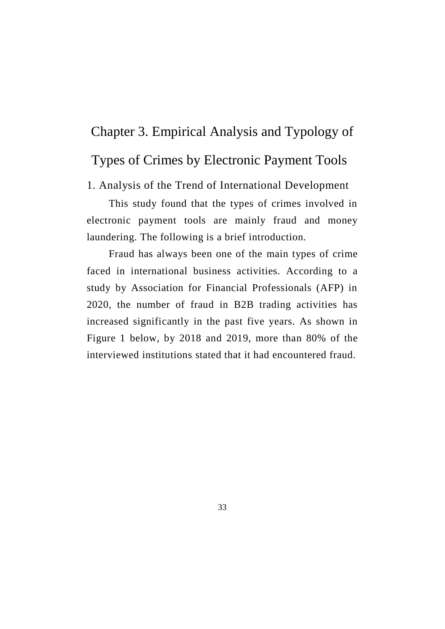# Chapter 3. Empirical Analysis and Typology of Types of Crimes by Electronic Payment Tools

1. Analysis of the Trend of International Development

This study found that the types of crimes involved in electronic payment tools are mainly fraud and money laundering. The following is a brief introduction.

Fraud has always been one of the main types of crime faced in international business activities. According to a study by Association for Financial Professionals (AFP) in 2020, the number of fraud in B2B trading activities has increased significantly in the past five years. As shown in Figure 1 below, by 2018 and 2019, more than 80% of the interviewed institutions stated that it had encountered fraud.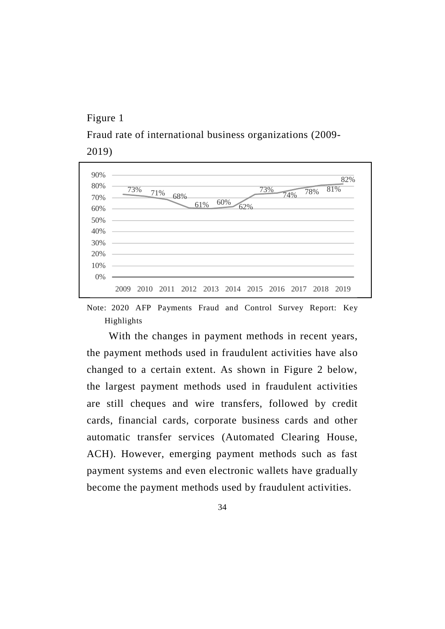#### Figure 1

Fraud rate of international business organizations (2009- 2019)



Note: 2020 AFP Payments Fraud and Control Survey Report: Key Highlights

With the changes in payment methods in recent years, the payment methods used in fraudulent activities have also changed to a certain extent. As shown in Figure 2 below, the largest payment methods used in fraudulent activities are still cheques and wire transfers, followed by credit cards, financial cards, corporate business cards and other automatic transfer services (Automated Clearing House, ACH). However, emerging payment methods such as fast payment systems and even electronic wallets have gradually become the payment methods used by fraudulent activities.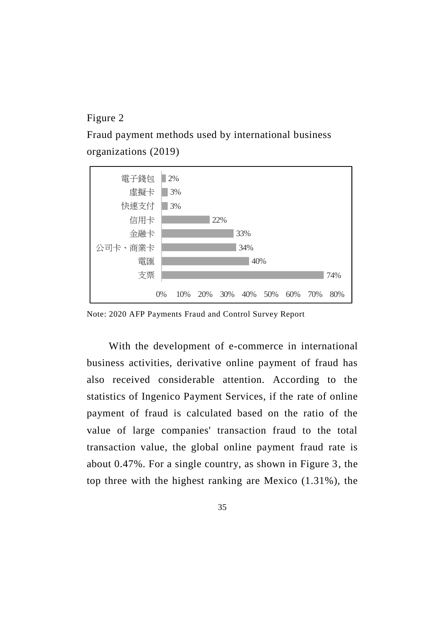## Figure 2

Fraud payment methods used by international business organizations (2019)



Note: 2020 AFP Payments Fraud and Control Survey Report

With the development of e-commerce in international business activities, derivative online payment of fraud has also received considerable attention. According to the statistics of Ingenico Payment Services, if the rate of online payment of fraud is calculated based on the ratio of the value of large companies' transaction fraud to the total transaction value, the global online payment fraud rate is about 0.47%. For a single country, as shown in Figure 3, the top three with the highest ranking are Mexico (1.31%), the

35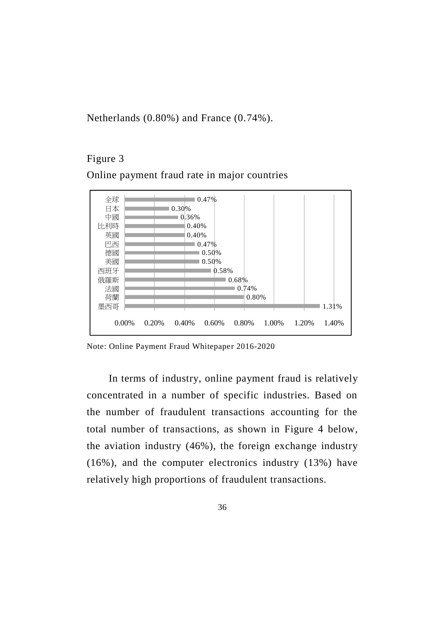Netherlands (0.80%) and France (0.74%).

#### Figure 3

Online payment fraud rate in major countries



Note: Online Payment Fraud Whitepaper 2016-2020

In terms of industry, online payment fraud is relatively concentrated in a number of specific industries. Based on the number of fraudulent transactions accounting for the total number of transactions, as shown in Figure 4 below, the aviation industry (46%), the foreign exchange industry (16%), and the computer electronics industry (13%) have relatively high proportions of fraudulent transactions.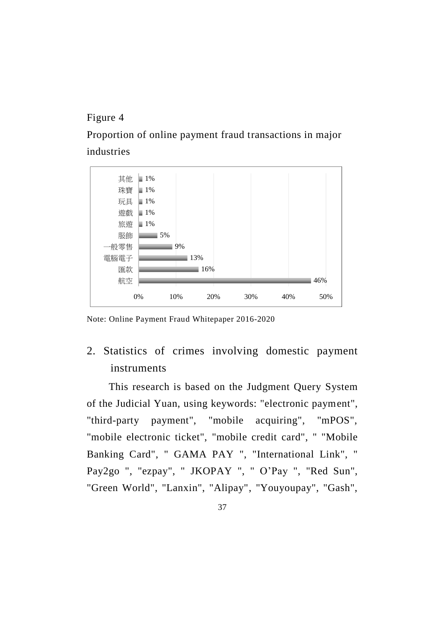## Figure 4

Proportion of online payment fraud transactions in major industries



Note: Online Payment Fraud Whitepaper 2016-2020

2. Statistics of crimes involving domestic payment instruments

This research is based on the Judgment Query System of the Judicial Yuan, using keywords: "electronic payment", "third-party payment", "mobile acquiring", "mPOS", "mobile electronic ticket", "mobile credit card", " "Mobile Banking Card", " GAMA PAY ", "International Link", " Pay2go ", "ezpay", " JKOPAY ", " O'Pay ", "Red Sun", "Green World", "Lanxin", "Alipay", "Youyoupay", "Gash",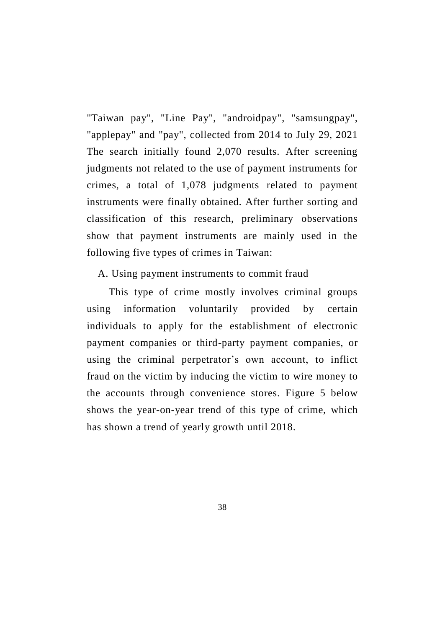"Taiwan pay", "Line Pay", "androidpay", "samsungpay", "applepay" and "pay", collected from 2014 to July 29, 2021 The search initially found 2,070 results. After screening judgments not related to the use of payment instruments for crimes, a total of 1,078 judgments related to payment instruments were finally obtained. After further sorting and classification of this research, preliminary observations show that payment instruments are mainly used in the following five types of crimes in Taiwan:

#### A. Using payment instruments to commit fraud

This type of crime mostly involves criminal groups using information voluntarily provided by certain individuals to apply for the establishment of electronic payment companies or third-party payment companies, or using the criminal perpetrator's own account, to inflict fraud on the victim by inducing the victim to wire money to the accounts through convenience stores. Figure 5 below shows the year-on-year trend of this type of crime, which has shown a trend of yearly growth until 2018.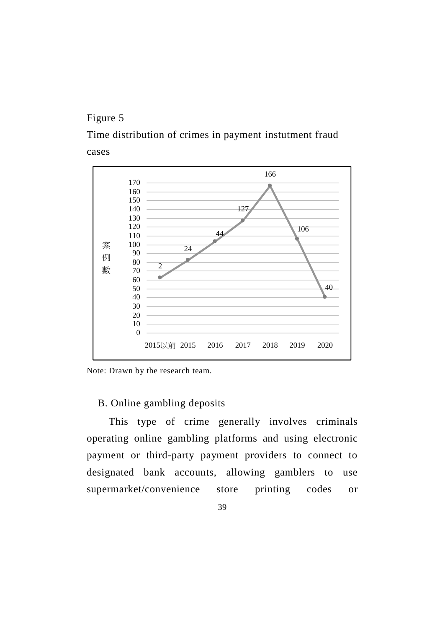# Figure 5

Time distribution of crimes in payment instutment fraud cases





# B. Online gambling deposits

This type of crime generally involves criminals operating online gambling platforms and using electronic payment or third-party payment providers to connect to designated bank accounts, allowing gamblers to use supermarket/convenience store printing codes or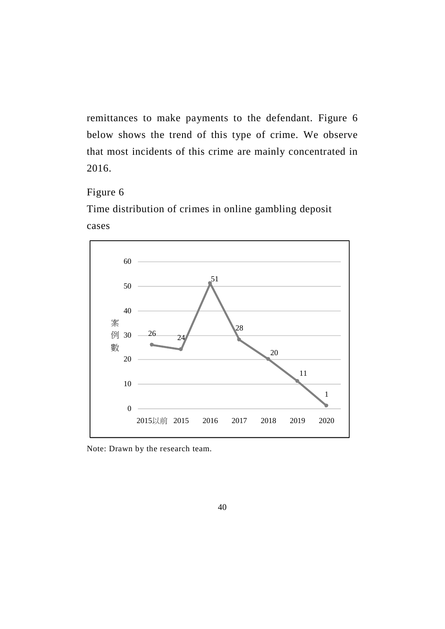remittances to make payments to the defendant. Figure 6 below shows the trend of this type of crime. We observe that most incidents of this crime are mainly concentrated in 2016.

# Figure 6

Time distribution of crimes in online gambling deposit cases



Note: Drawn by the research team.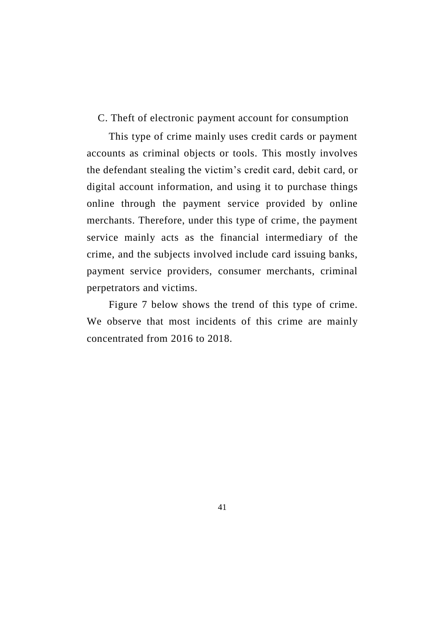C. Theft of electronic payment account for consumption

This type of crime mainly uses credit cards or payment accounts as criminal objects or tools. This mostly involves the defendant stealing the victim's credit card, debit card, or digital account information, and using it to purchase things online through the payment service provided by online merchants. Therefore, under this type of crime, the payment service mainly acts as the financial intermediary of the crime, and the subjects involved include card issuing banks, payment service providers, consumer merchants, criminal perpetrators and victims.

Figure 7 below shows the trend of this type of crime. We observe that most incidents of this crime are mainly concentrated from 2016 to 2018.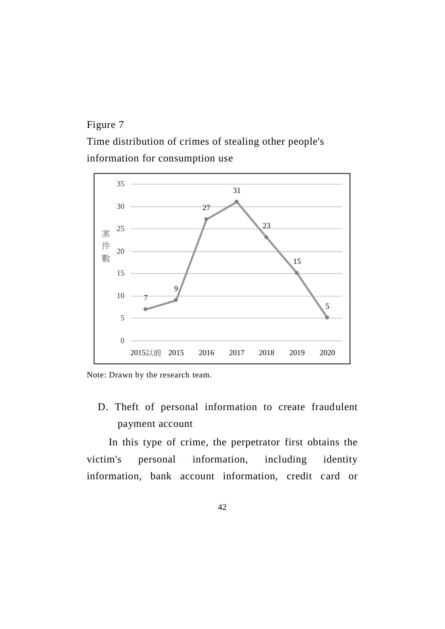# Figure 7

Time distribution of crimes of stealing other people's information for consumption use





D. Theft of personal information to create fraudulent payment account

In this type of crime, the perpetrator first obtains the victim's personal information, including identity information, bank account information, credit card or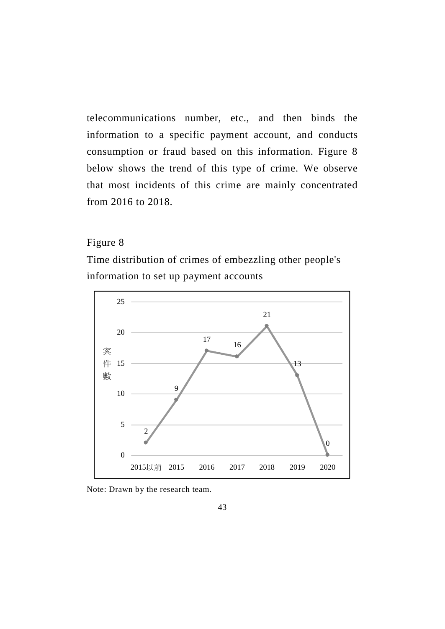telecommunications number, etc., and then binds the information to a specific payment account, and conducts consumption or fraud based on this information. Figure 8 below shows the trend of this type of crime. We observe that most incidents of this crime are mainly concentrated from 2016 to 2018.

# Figure 8

Time distribution of crimes of embezzling other people's information to set up payment accounts



Note: Drawn by the research team.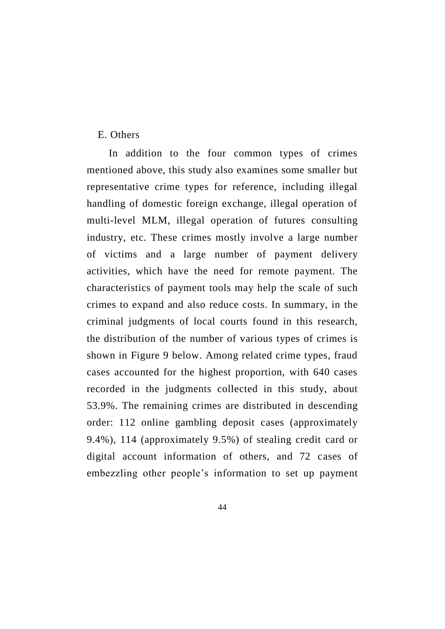#### E. Others

In addition to the four common types of crimes mentioned above, this study also examines some smaller but representative crime types for reference, including illegal handling of domestic foreign exchange, illegal operation of multi-level MLM, illegal operation of futures consulting industry, etc. These crimes mostly involve a large number of victims and a large number of payment delivery activities, which have the need for remote payment. The characteristics of payment tools may help the scale of such crimes to expand and also reduce costs. In summary, in the criminal judgments of local courts found in this research, the distribution of the number of various types of crimes is shown in Figure 9 below. Among related crime types, fraud cases accounted for the highest proportion, with 640 cases recorded in the judgments collected in this study, about 53.9%. The remaining crimes are distributed in descending order: 112 online gambling deposit cases (approximately 9.4%), 114 (approximately 9.5%) of stealing credit card or digital account information of others, and 72 cases of embezzling other people's information to set up payment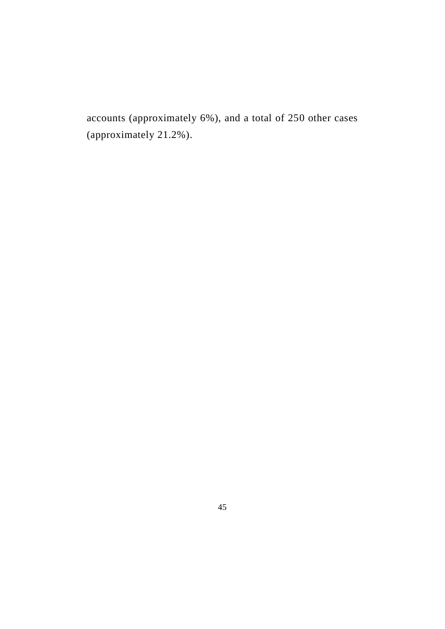accounts (approximately 6%), and a total of 250 other cases (approximately 21.2%).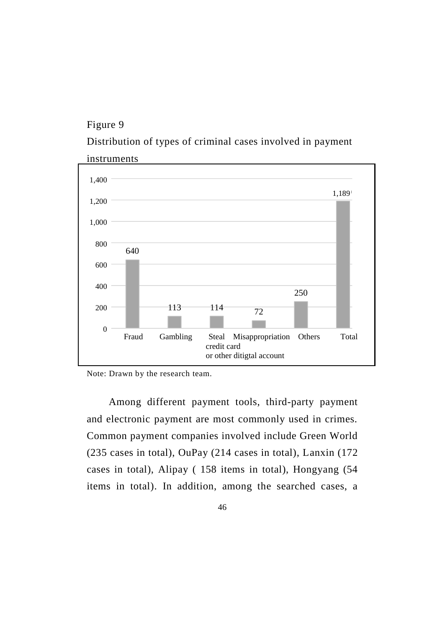# Figure 9

Distribution of types of criminal cases involved in payment



Note: Drawn by the research team.

Among different payment tools, third-party payment and electronic payment are most commonly used in crimes. Common payment companies involved include Green World (235 cases in total), OuPay (214 cases in total), Lanxin (172 cases in total), Alipay ( 158 items in total), Hongyang (54 items in total). In addition, among the searched cases, a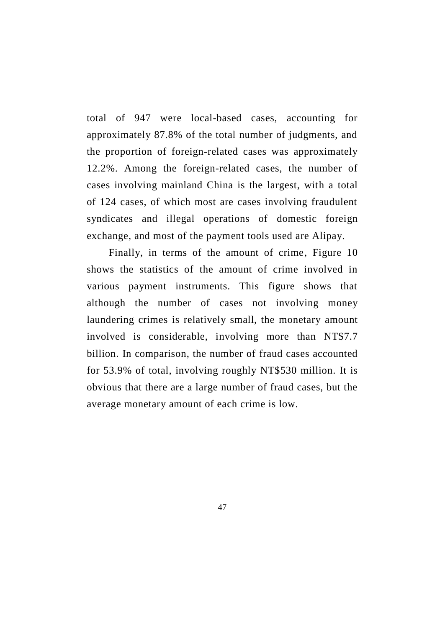total of 947 were local-based cases, accounting for approximately 87.8% of the total number of judgments, and the proportion of foreign-related cases was approximately 12.2%. Among the foreign-related cases, the number of cases involving mainland China is the largest, with a total of 124 cases, of which most are cases involving fraudulent syndicates and illegal operations of domestic foreign exchange, and most of the payment tools used are Alipay.

Finally, in terms of the amount of crime, Figure 10 shows the statistics of the amount of crime involved in various payment instruments. This figure shows that although the number of cases not involving money laundering crimes is relatively small, the monetary amount involved is considerable, involving more than NT\$7.7 billion. In comparison, the number of fraud cases accounted for 53.9% of total, involving roughly NT\$530 million. It is obvious that there are a large number of fraud cases, but the average monetary amount of each crime is low.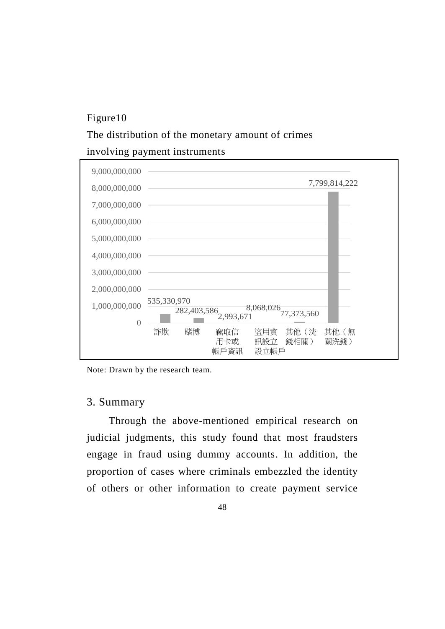# Figure10

#### The distribution of the monetary amount of crimes

#### involving payment instruments



Note: Drawn by the research team.

# 3. Summary

Through the above-mentioned empirical research on judicial judgments, this study found that most fraudsters engage in fraud using dummy accounts. In addition, the proportion of cases where criminals embezzled the identity of others or other information to create payment service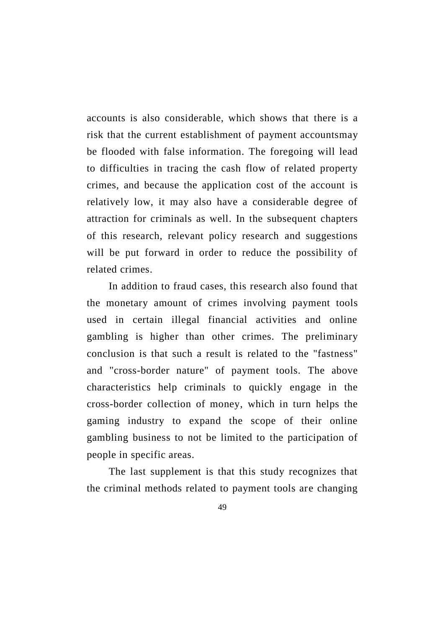accounts is also considerable, which shows that there is a risk that the current establishment of payment accountsmay be flooded with false information. The foregoing will lead to difficulties in tracing the cash flow of related property crimes, and because the application cost of the account is relatively low, it may also have a considerable degree of attraction for criminals as well. In the subsequent chapters of this research, relevant policy research and suggestions will be put forward in order to reduce the possibility of related crimes.

In addition to fraud cases, this research also found that the monetary amount of crimes involving payment tools used in certain illegal financial activities and online gambling is higher than other crimes. The preliminary conclusion is that such a result is related to the "fastness" and "cross-border nature" of payment tools. The above characteristics help criminals to quickly engage in the cross-border collection of money, which in turn helps the gaming industry to expand the scope of their online gambling business to not be limited to the participation of people in specific areas.

The last supplement is that this study recognizes that the criminal methods related to payment tools are changing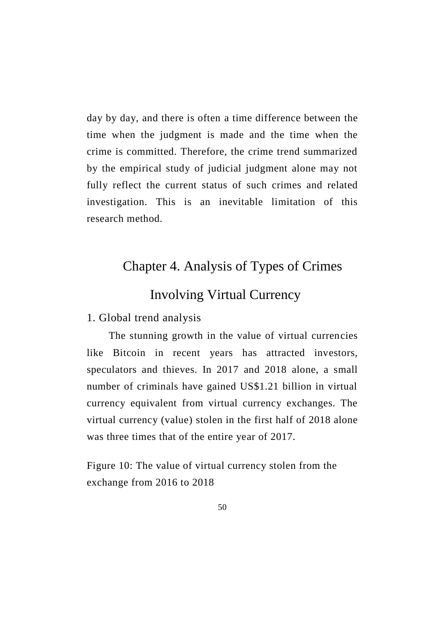day by day, and there is often a time difference between the time when the judgment is made and the time when the crime is committed. Therefore, the crime trend summarized by the empirical study of judicial judgment alone may not fully reflect the current status of such crimes and related investigation. This is an inevitable limitation of this research method.

# Chapter 4. Analysis of Types of Crimes

# Involving Virtual Currency

1. Global trend analysis

The stunning growth in the value of virtual currencies like Bitcoin in recent years has attracted investors, speculators and thieves. In 2017 and 2018 alone, a small number of criminals have gained US\$1.21 billion in virtual currency equivalent from virtual currency exchanges. The virtual currency (value) stolen in the first half of 2018 alone was three times that of the entire year of 2017.

Figure 10: The value of virtual currency stolen from the exchange from 2016 to 2018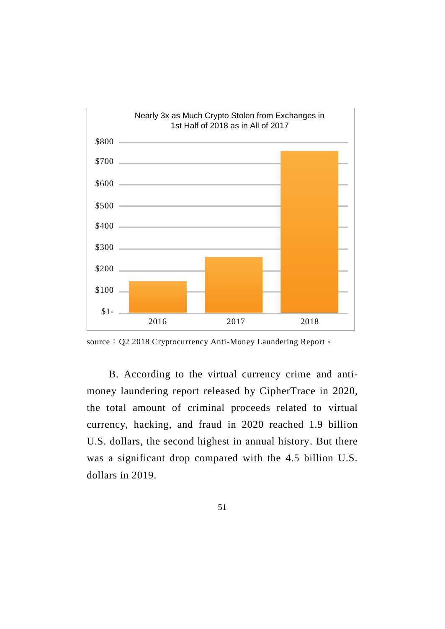

source: Q2 2018 Cryptocurrency Anti-Money Laundering Report。

B. According to the virtual currency crime and antimoney laundering report released by CipherTrace in 2020, the total amount of criminal proceeds related to virtual currency, hacking, and fraud in 2020 reached 1.9 billion U.S. dollars, the second highest in annual history. But there was a significant drop compared with the 4.5 billion U.S. dollars in 2019.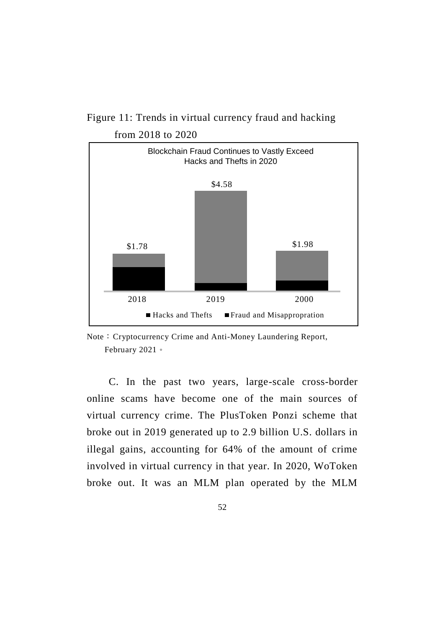

Figure 11: Trends in virtual currency fraud and hacking from 2018 to 2020

C. In the past two years, large-scale cross-border online scams have become one of the main sources of virtual currency crime. The PlusToken Ponzi scheme that broke out in 2019 generated up to 2.9 billion U.S. dollars in illegal gains, accounting for 64% of the amount of crime involved in virtual currency in that year. In 2020, WoToken broke out. It was an MLM plan operated by the MLM

52

Note: Cryptocurrency Crime and Anti-Money Laundering Report, February 2021。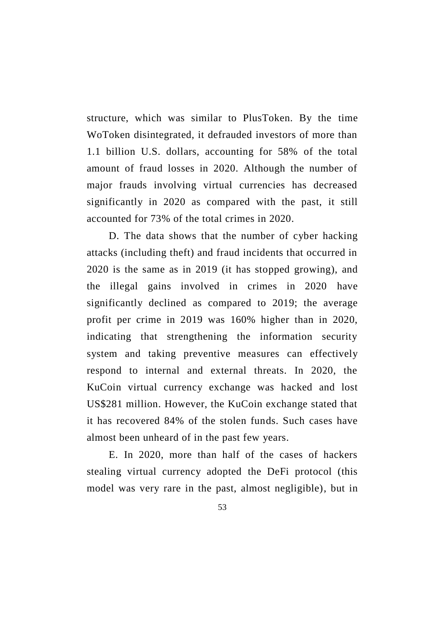structure, which was similar to PlusToken. By the time WoToken disintegrated, it defrauded investors of more than 1.1 billion U.S. dollars, accounting for 58% of the total amount of fraud losses in 2020. Although the number of major frauds involving virtual currencies has decreased significantly in 2020 as compared with the past, it still accounted for 73% of the total crimes in 2020.

D. The data shows that the number of cyber hacking attacks (including theft) and fraud incidents that occurred in 2020 is the same as in 2019 (it has stopped growing), and the illegal gains involved in crimes in 2020 have significantly declined as compared to 2019; the average profit per crime in 2019 was 160% higher than in 2020, indicating that strengthening the information security system and taking preventive measures can effectively respond to internal and external threats. In 2020, the KuCoin virtual currency exchange was hacked and lost US\$281 million. However, the KuCoin exchange stated that it has recovered 84% of the stolen funds. Such cases have almost been unheard of in the past few years.

E. In 2020, more than half of the cases of hackers stealing virtual currency adopted the DeFi protocol (this model was very rare in the past, almost negligible), but in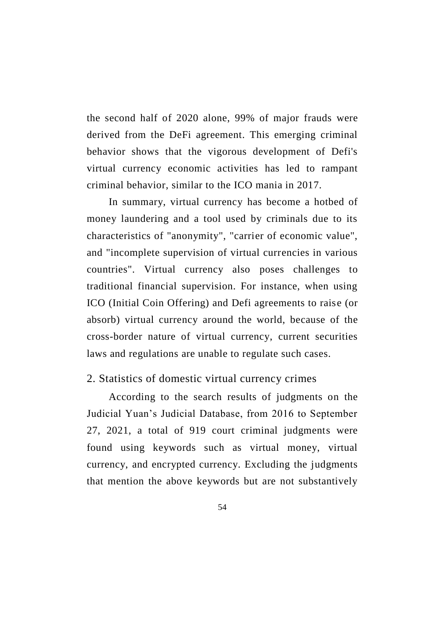the second half of 2020 alone, 99% of major frauds were derived from the DeFi agreement. This emerging criminal behavior shows that the vigorous development of Defi's virtual currency economic activities has led to rampant criminal behavior, similar to the ICO mania in 2017.

In summary, virtual currency has become a hotbed of money laundering and a tool used by criminals due to its characteristics of "anonymity", "carrier of economic value", and "incomplete supervision of virtual currencies in various countries". Virtual currency also poses challenges to traditional financial supervision. For instance, when using ICO (Initial Coin Offering) and Defi agreements to raise (or absorb) virtual currency around the world, because of the cross-border nature of virtual currency, current securities laws and regulations are unable to regulate such cases.

#### 2. Statistics of domestic virtual currency crimes

According to the search results of judgments on the Judicial Yuan's Judicial Database, from 2016 to September 27, 2021, a total of 919 court criminal judgments were found using keywords such as virtual money, virtual currency, and encrypted currency. Excluding the judgments that mention the above keywords but are not substantively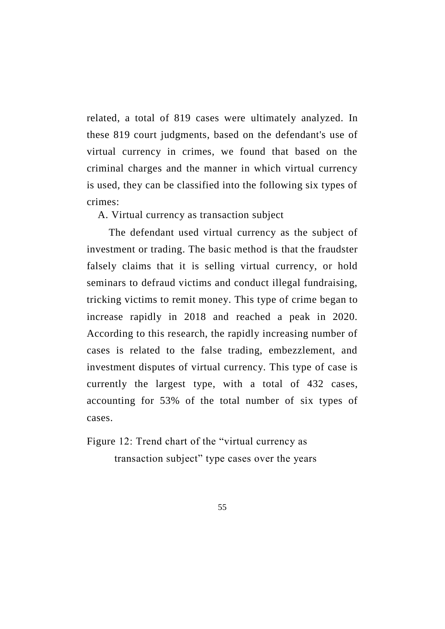related, a total of 819 cases were ultimately analyzed. In these 819 court judgments, based on the defendant's use of virtual currency in crimes, we found that based on the criminal charges and the manner in which virtual currency is used, they can be classified into the following six types of crimes:

A. Virtual currency as transaction subject

The defendant used virtual currency as the subject of investment or trading. The basic method is that the fraudster falsely claims that it is selling virtual currency, or hold seminars to defraud victims and conduct illegal fundraising, tricking victims to remit money. This type of crime began to increase rapidly in 2018 and reached a peak in 2020. According to this research, the rapidly increasing number of cases is related to the false trading, embezzlement, and investment disputes of virtual currency. This type of case is currently the largest type, with a total of 432 cases, accounting for 53% of the total number of six types of cases.

Figure 12: Trend chart of the "virtual currency as transaction subject" type cases over the years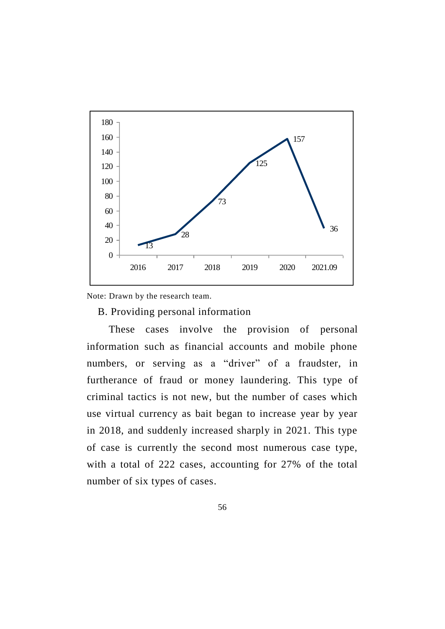

Note: Drawn by the research team.

B. Providing personal information

These cases involve the provision of personal information such as financial accounts and mobile phone numbers, or serving as a "driver" of a fraudster, in furtherance of fraud or money laundering. This type of criminal tactics is not new, but the number of cases which use virtual currency as bait began to increase year by year in 2018, and suddenly increased sharply in 2021. This type of case is currently the second most numerous case type, with a total of 222 cases, accounting for 27% of the total number of six types of cases.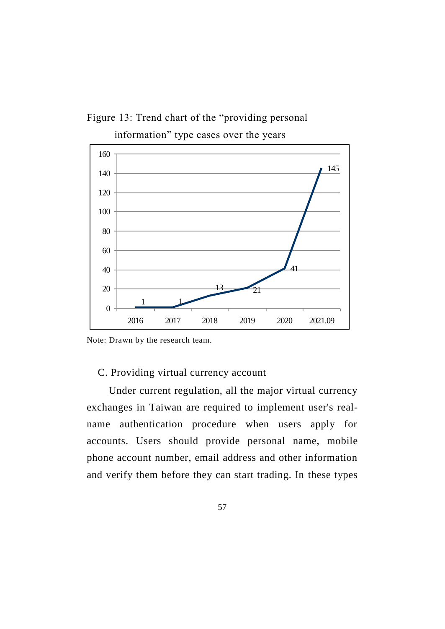Figure 13: Trend chart of the "providing personal information" type cases over the years



Note: Drawn by the research team.

## C. Providing virtual currency account

Under current regulation, all the major virtual currency exchanges in Taiwan are required to implement user's realname authentication procedure when users apply for accounts. Users should provide personal name, mobile phone account number, email address and other information and verify them before they can start trading. In these types

57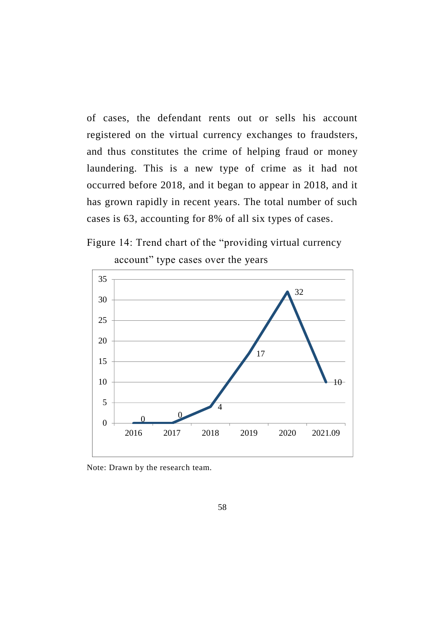of cases, the defendant rents out or sells his account registered on the virtual currency exchanges to fraudsters, and thus constitutes the crime of helping fraud or money laundering. This is a new type of crime as it had not occurred before 2018, and it began to appear in 2018, and it has grown rapidly in recent years. The total number of such cases is 63, accounting for 8% of all six types of cases.





account" type cases over the years

Note: Drawn by the research team.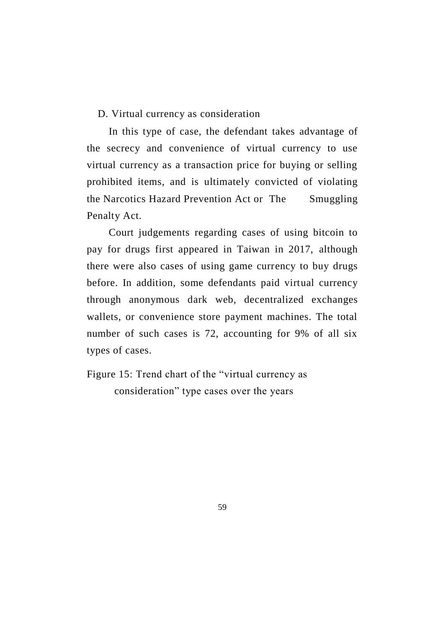D. Virtual currency as consideration

In this type of case, the defendant takes advantage of the secrecy and convenience of virtual currency to use virtual currency as a transaction price for buying or selling prohibited items, and is ultimately convicted of violating the Narcotics Hazard Prevention Act or The Smuggling Penalty Act.

Court judgements regarding cases of using bitcoin to pay for drugs first appeared in Taiwan in 2017, although there were also cases of using game currency to buy drugs before. In addition, some defendants paid virtual currency through anonymous dark web, decentralized exchanges wallets, or convenience store payment machines. The total number of such cases is 72, accounting for 9% of all six types of cases.

Figure 15: Trend chart of the "virtual currency as consideration" type cases over the years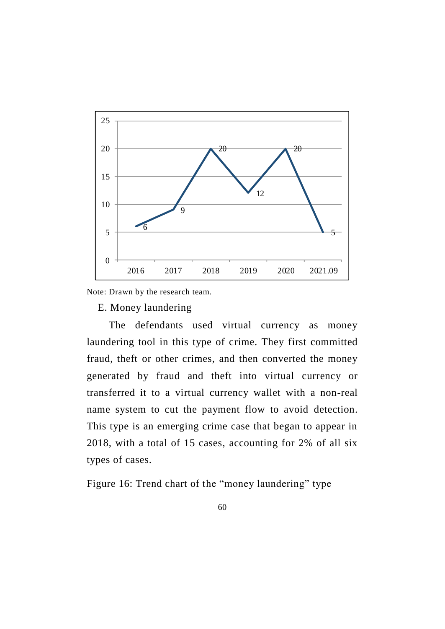

Note: Drawn by the research team.

E. Money laundering

The defendants used virtual currency as money laundering tool in this type of crime. They first committed fraud, theft or other crimes, and then converted the money generated by fraud and theft into virtual currency or transferred it to a virtual currency wallet with a non-real name system to cut the payment flow to avoid detection. This type is an emerging crime case that began to appear in 2018, with a total of 15 cases, accounting for 2% of all six types of cases.

Figure 16: Trend chart of the "money laundering" type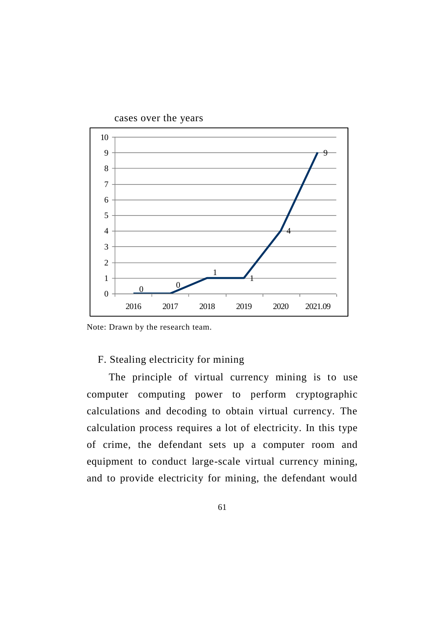

cases over the years

Note: Drawn by the research team.

## F. Stealing electricity for mining

The principle of virtual currency mining is to use computer computing power to perform cryptographic calculations and decoding to obtain virtual currency. The calculation process requires a lot of electricity. In this type of crime, the defendant sets up a computer room and equipment to conduct large-scale virtual currency mining, and to provide electricity for mining, the defendant would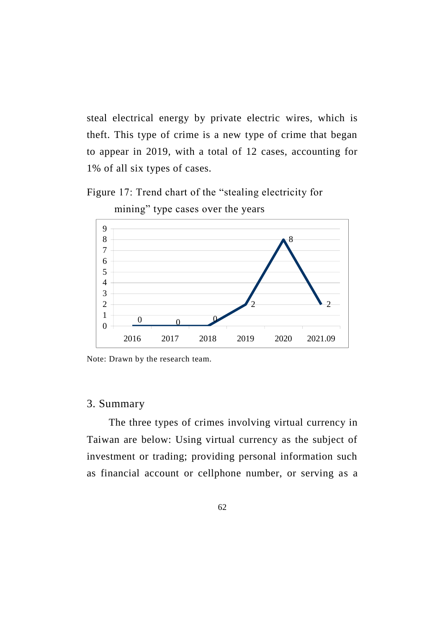steal electrical energy by private electric wires, which is theft. This type of crime is a new type of crime that began to appear in 2019, with a total of 12 cases, accounting for 1% of all six types of cases.





mining" type cases over the years

Note: Drawn by the research team.

# 3. Summary

The three types of crimes involving virtual currency in Taiwan are below: Using virtual currency as the subject of investment or trading; providing personal information such as financial account or cellphone number, or serving as a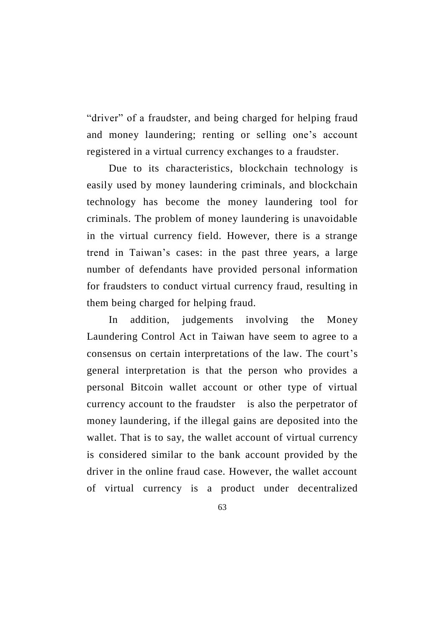"driver" of a fraudster, and being charged for helping fraud and money laundering; renting or selling one's account registered in a virtual currency exchanges to a fraudster.

Due to its characteristics, blockchain technology is easily used by money laundering criminals, and blockchain technology has become the money laundering tool for criminals. The problem of money laundering is unavoidable in the virtual currency field. However, there is a strange trend in Taiwan's cases: in the past three years, a large number of defendants have provided personal information for fraudsters to conduct virtual currency fraud, resulting in them being charged for helping fraud.

In addition, judgements involving the Money Laundering Control Act in Taiwan have seem to agree to a consensus on certain interpretations of the law. The court's general interpretation is that the person who provides a personal Bitcoin wallet account or other type of virtual currency account to the fraudster is also the perpetrator of money laundering, if the illegal gains are deposited into the wallet. That is to say, the wallet account of virtual currency is considered similar to the bank account provided by the driver in the online fraud case. However, the wallet account of virtual currency is a product under decentralized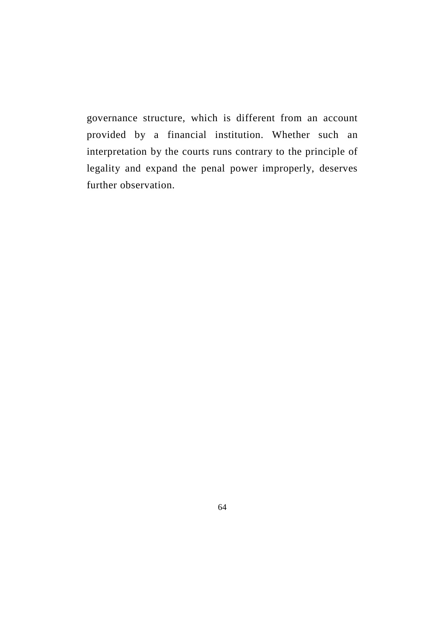governance structure, which is different from an account provided by a financial institution. Whether such an interpretation by the courts runs contrary to the principle of legality and expand the penal power improperly, deserves further observation.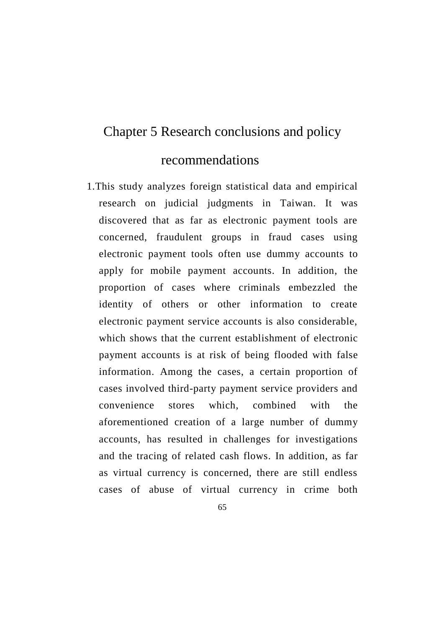# Chapter 5 Research conclusions and policy

# recommendations

- 1.This study analyzes foreign statistical data and empirical research on judicial judgments in Taiwan. It was discovered that as far as electronic payment tools are concerned, fraudulent groups in fraud cases using electronic payment tools often use dummy accounts to apply for mobile payment accounts. In addition, the proportion of cases where criminals embezzled the identity of others or other information to create electronic payment service accounts is also considerable, which shows that the current establishment of electronic payment accounts is at risk of being flooded with false information. Among the cases, a certain proportion of cases involved third-party payment service providers and convenience stores which, combined with the aforementioned creation of a large number of dummy accounts, has resulted in challenges for investigations and the tracing of related cash flows. In addition, as far as virtual currency is concerned, there are still endless cases of abuse of virtual currency in crime both
	- 65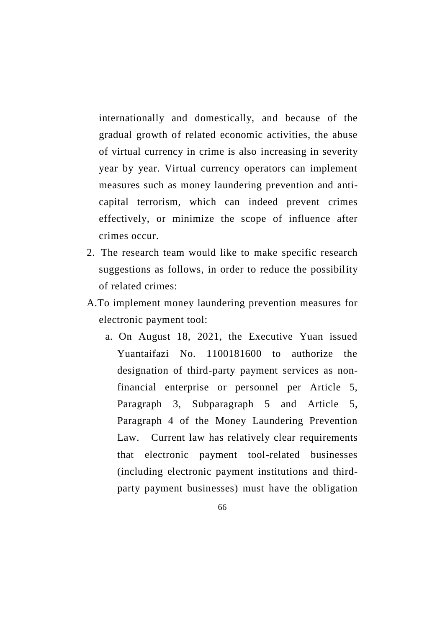internationally and domestically, and because of the gradual growth of related economic activities, the abuse of virtual currency in crime is also increasing in severity year by year. Virtual currency operators can implement measures such as money laundering prevention and anticapital terrorism, which can indeed prevent crimes effectively, or minimize the scope of influence after crimes occur.

- 2. The research team would like to make specific research suggestions as follows, in order to reduce the possibility of related crimes:
- A.To implement money laundering prevention measures for electronic payment tool:
	- a. On August 18, 2021, the Executive Yuan issued Yuantaifazi No. 1100181600 to authorize the designation of third-party payment services as nonfinancial enterprise or personnel per Article 5, Paragraph 3, Subparagraph 5 and Article 5, Paragraph 4 of the Money Laundering Prevention Law. Current law has relatively clear requirements that electronic payment tool-related businesses (including electronic payment institutions and thirdparty payment businesses) must have the obligation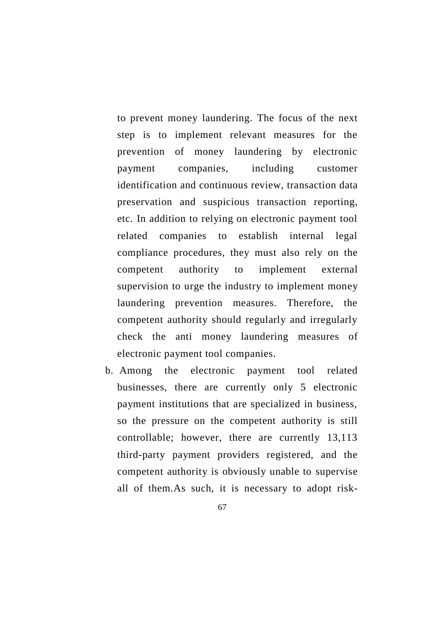to prevent money laundering. The focus of the next step is to implement relevant measures for the prevention of money laundering by electronic payment companies, including customer identification and continuous review, transaction data preservation and suspicious transaction reporting, etc. In addition to relying on electronic payment tool related companies to establish internal legal compliance procedures, they must also rely on the competent authority to implement external supervision to urge the industry to implement money laundering prevention measures. Therefore, the competent authority should regularly and irregularly check the anti money laundering measures of electronic payment tool companies.

- b. Among the electronic payment tool related businesses, there are currently only 5 electronic payment institutions that are specialized in business, so the pressure on the competent authority is still controllable; however, there are currently 13,113 third-party payment providers registered, and the competent authority is obviously unable to supervise all of them.As such, it is necessary to adopt risk-
	- 67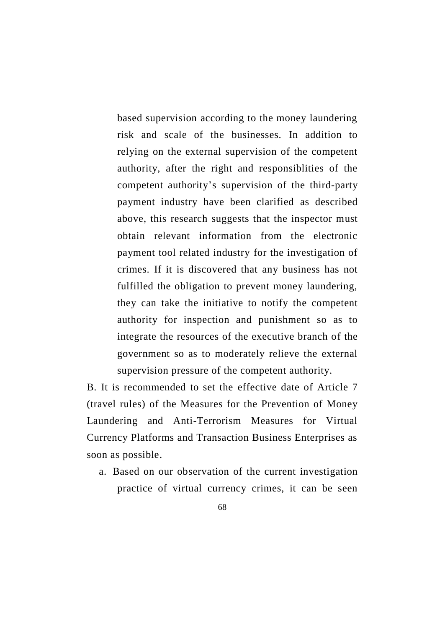based supervision according to the money laundering risk and scale of the businesses. In addition to relying on the external supervision of the competent authority, after the right and responsiblities of the competent authority's supervision of the third-party payment industry have been clarified as described above, this research suggests that the inspector must obtain relevant information from the electronic payment tool related industry for the investigation of crimes. If it is discovered that any business has not fulfilled the obligation to prevent money laundering, they can take the initiative to notify the competent authority for inspection and punishment so as to integrate the resources of the executive branch of the government so as to moderately relieve the external supervision pressure of the competent authority.

B. It is recommended to set the effective date of Article 7 (travel rules) of the Measures for the Prevention of Money Laundering and Anti-Terrorism Measures for Virtual Currency Platforms and Transaction Business Enterprises as soon as possible.

- a. Based on our observation of the current investigation practice of virtual currency crimes, it can be seen
	- 68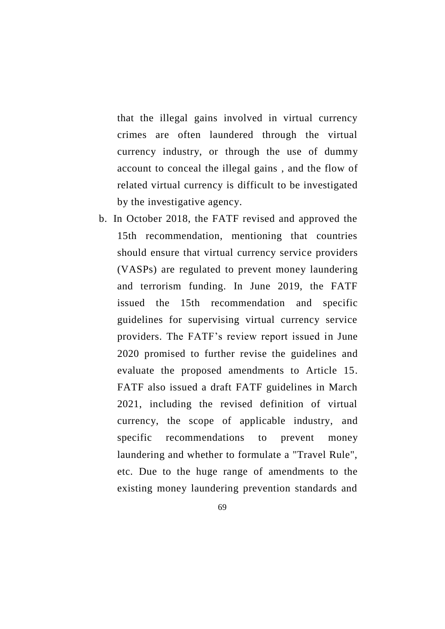that the illegal gains involved in virtual currency crimes are often laundered through the virtual currency industry, or through the use of dummy account to conceal the illegal gains , and the flow of related virtual currency is difficult to be investigated by the investigative agency.

- b. In October 2018, the FATF revised and approved the 15th recommendation, mentioning that countries should ensure that virtual currency service providers (VASPs) are regulated to prevent money laundering and terrorism funding. In June 2019, the FATF issued the 15th recommendation and specific guidelines for supervising virtual currency service providers. The FATF's review report issued in June 2020 promised to further revise the guidelines and evaluate the proposed amendments to Article 15. FATF also issued a draft FATF guidelines in March 2021, including the revised definition of virtual currency, the scope of applicable industry, and specific recommendations to prevent money laundering and whether to formulate a "Travel Rule", etc. Due to the huge range of amendments to the existing money laundering prevention standards and
	- 69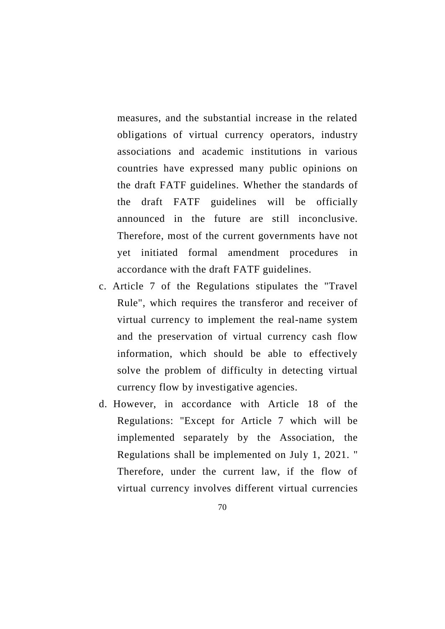measures, and the substantial increase in the related obligations of virtual currency operators, industry associations and academic institutions in various countries have expressed many public opinions on the draft FATF guidelines. Whether the standards of the draft FATF guidelines will be officially announced in the future are still inconclusive. Therefore, most of the current governments have not yet initiated formal amendment procedures in accordance with the draft FATF guidelines.

- c. Article 7 of the Regulations stipulates the "Travel Rule", which requires the transferor and receiver of virtual currency to implement the real-name system and the preservation of virtual currency cash flow information, which should be able to effectively solve the problem of difficulty in detecting virtual currency flow by investigative agencies.
- d. However, in accordance with Article 18 of the Regulations: "Except for Article 7 which will be implemented separately by the Association, the Regulations shall be implemented on July 1, 2021. " Therefore, under the current law, if the flow of virtual currency involves different virtual currencies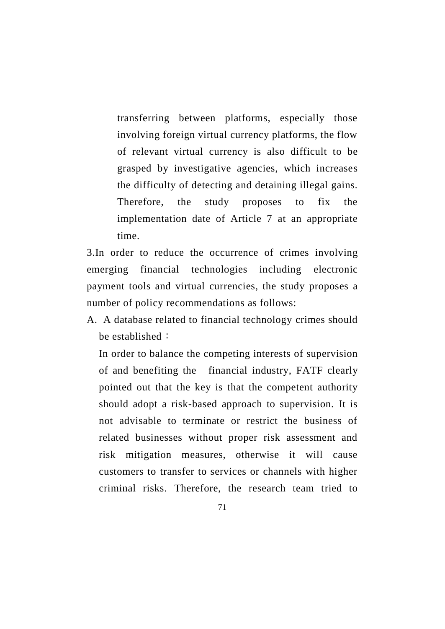transferring between platforms, especially those involving foreign virtual currency platforms, the flow of relevant virtual currency is also difficult to be grasped by investigative agencies, which increases the difficulty of detecting and detaining illegal gains. Therefore, the study proposes to fix the implementation date of Article 7 at an appropriate time.

3.In order to reduce the occurrence of crimes involving emerging financial technologies including electronic payment tools and virtual currencies, the study proposes a number of policy recommendations as follows:

A. A database related to financial technology crimes should be established:

In order to balance the competing interests of supervision of and benefiting the financial industry, FATF clearly pointed out that the key is that the competent authority should adopt a risk-based approach to supervision. It is not advisable to terminate or restrict the business of related businesses without proper risk assessment and risk mitigation measures, otherwise it will cause customers to transfer to services or channels with higher criminal risks. Therefore, the research team tried to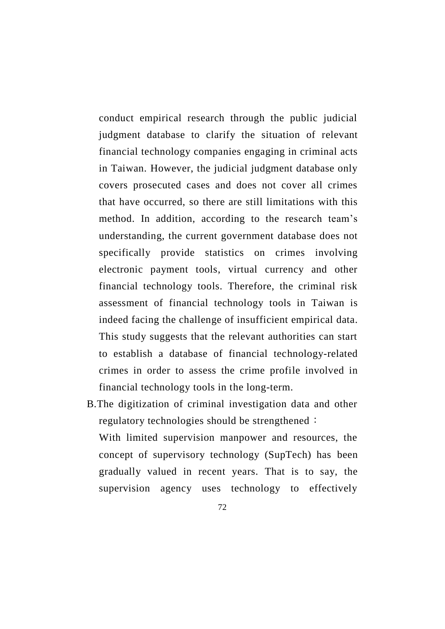conduct empirical research through the public judicial judgment database to clarify the situation of relevant financial technology companies engaging in criminal acts in Taiwan. However, the judicial judgment database only covers prosecuted cases and does not cover all crimes that have occurred, so there are still limitations with this method. In addition, according to the research team's understanding, the current government database does not specifically provide statistics on crimes involving electronic payment tools, virtual currency and other financial technology tools. Therefore, the criminal risk assessment of financial technology tools in Taiwan is indeed facing the challenge of insufficient empirical data. This study suggests that the relevant authorities can start to establish a database of financial technology-related crimes in order to assess the crime profile involved in financial technology tools in the long-term.

B.The digitization of criminal investigation data and other regulatory technologies should be strengthened: With limited supervision manpower and resources, the concept of supervisory technology (SupTech) has been gradually valued in recent years. That is to say, the supervision agency uses technology to effectively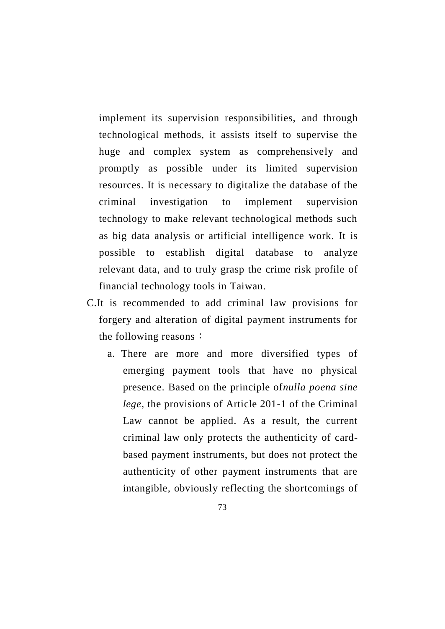implement its supervision responsibilities, and through technological methods, it assists itself to supervise the huge and complex system as comprehensively and promptly as possible under its limited supervision resources. It is necessary to digitalize the database of the criminal investigation to implement supervision technology to make relevant technological methods such as big data analysis or artificial intelligence work. It is possible to establish digital database to analyze relevant data, and to truly grasp the crime risk profile of financial technology tools in Taiwan.

- C.It is recommended to add criminal law provisions for forgery and alteration of digital payment instruments for the following reasons:
	- a. There are more and more diversified types of emerging payment tools that have no physical presence. Based on the principle of*nulla poena sine lege*, the provisions of Article 201-1 of the Criminal Law cannot be applied. As a result, the current criminal law only protects the authenticity of cardbased payment instruments, but does not protect the authenticity of other payment instruments that are intangible, obviously reflecting the shortcomings of
		- 73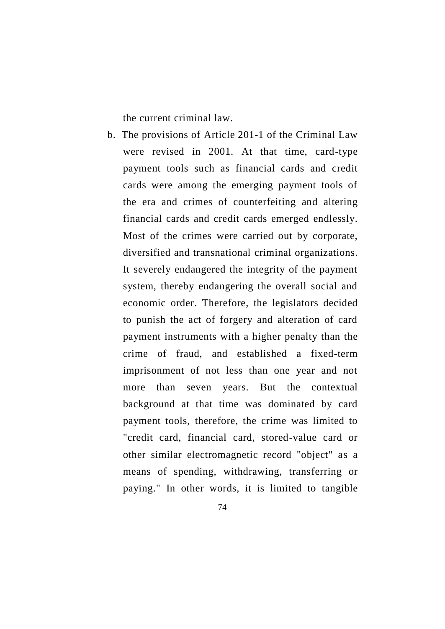the current criminal law.

- b. The provisions of Article 201-1 of the Criminal Law were revised in 2001. At that time, card-type payment tools such as financial cards and credit cards were among the emerging payment tools of the era and crimes of counterfeiting and altering financial cards and credit cards emerged endlessly. Most of the crimes were carried out by corporate, diversified and transnational criminal organizations. It severely endangered the integrity of the payment system, thereby endangering the overall social and economic order. Therefore, the legislators decided to punish the act of forgery and alteration of card payment instruments with a higher penalty than the crime of fraud, and established a fixed-term imprisonment of not less than one year and not more than seven years. But the contextual background at that time was dominated by card payment tools, therefore, the crime was limited to "credit card, financial card, stored-value card or other similar electromagnetic record "object" as a means of spending, withdrawing, transferring or paying." In other words, it is limited to tangible
	- 74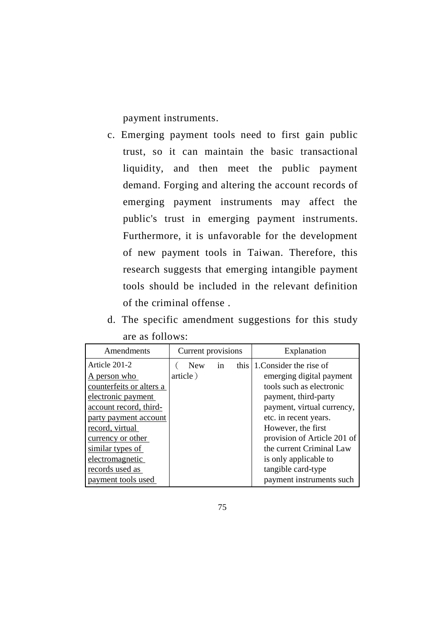payment instruments.

- c. Emerging payment tools need to first gain public trust, so it can maintain the basic transactional liquidity, and then meet the public payment demand. Forging and altering the account records of emerging payment instruments may affect the public's trust in emerging payment instruments. Furthermore, it is unfavorable for the development of new payment tools in Taiwan. Therefore, this research suggests that emerging intangible payment tools should be included in the relevant definition of the criminal offense .
- d. The specific amendment suggestions for this study are as follows:

| Amendments                                   | Current provisions     |    |  | Explanation                                              |
|----------------------------------------------|------------------------|----|--|----------------------------------------------------------|
| Article 201-2<br>A person who                | <b>New</b><br>article) | in |  | this 1. Consider the rise of<br>emerging digital payment |
| counterfeits or alters a                     |                        |    |  | tools such as electronic                                 |
| electronic payment<br>account record, third- |                        |    |  | payment, third-party<br>payment, virtual currency,       |
| party payment account<br>record, virtual     |                        |    |  | etc. in recent years.<br>However, the first              |
| currency or other                            |                        |    |  | provision of Article 201 of                              |
| similar types of<br>electromagnetic          |                        |    |  | the current Criminal Law<br>is only applicable to        |
| records used as                              |                        |    |  | tangible card-type                                       |
| payment tools used                           |                        |    |  | payment instruments such                                 |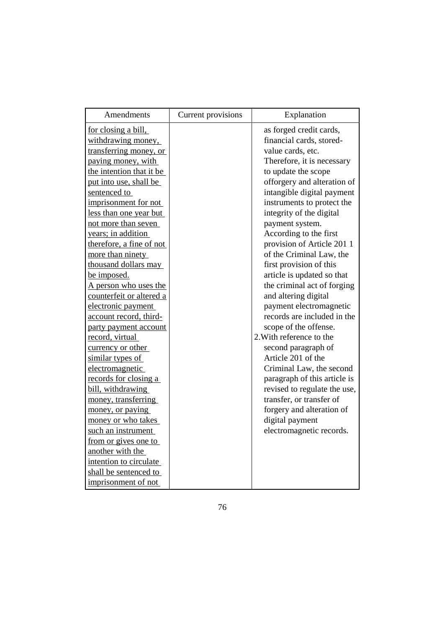| Amendments               | Current provisions | Explanation                  |
|--------------------------|--------------------|------------------------------|
| for closing a bill,      |                    | as forged credit cards,      |
| withdrawing money,       |                    | financial cards, stored-     |
| transferring money, or   |                    | value cards, etc.            |
| paying money, with       |                    | Therefore, it is necessary   |
| the intention that it be |                    | to update the scope          |
| put into use, shall be   |                    | offorgery and alteration of  |
| sentenced to             |                    | intangible digital payment   |
| imprisonment for not     |                    | instruments to protect the   |
| less than one year but   |                    | integrity of the digital     |
| not more than seven      |                    | payment system.              |
| years; in addition       |                    | According to the first       |
| therefore, a fine of not |                    | provision of Article 201 1   |
| more than ninety         |                    | of the Criminal Law, the     |
| thousand dollars may     |                    | first provision of this      |
| be imposed.              |                    | article is updated so that   |
| A person who uses the    |                    | the criminal act of forging  |
| counterfeit or altered a |                    | and altering digital         |
| electronic payment       |                    | payment electromagnetic      |
| account record, third-   |                    | records are included in the  |
| party payment account    |                    | scope of the offense.        |
| record, virtual          |                    | 2. With reference to the     |
| currency or other        |                    | second paragraph of          |
| similar types of         |                    | Article 201 of the           |
| electromagnetic          |                    | Criminal Law, the second     |
| records for closing a    |                    | paragraph of this article is |
| bill, withdrawing        |                    | revised to regulate the use, |
| money, transferring      |                    | transfer, or transfer of     |
| money, or paying         |                    | forgery and alteration of    |
| money or who takes       |                    | digital payment              |
| such an instrument       |                    | electromagnetic records.     |
| from or gives one to     |                    |                              |
| another with the         |                    |                              |
| intention to circulate   |                    |                              |
| shall be sentenced to    |                    |                              |
| imprisonment of not      |                    |                              |